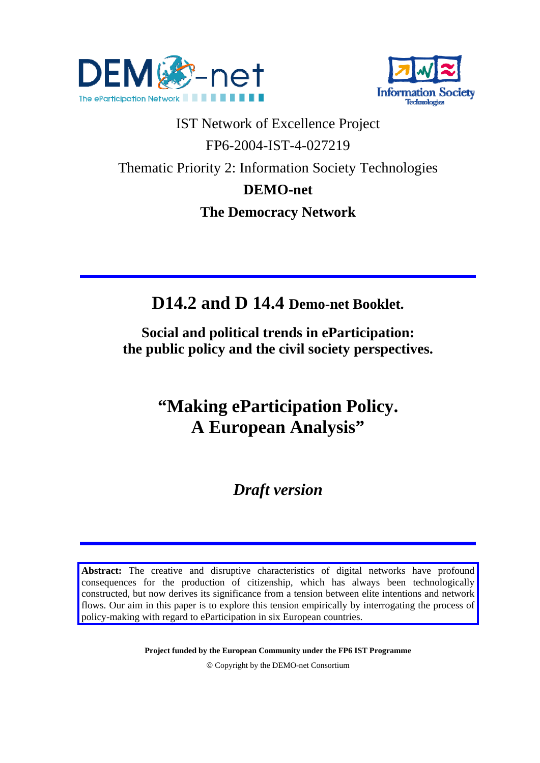



IST Network of Excellence Project FP6-2004-IST-4-027219 Thematic Priority 2: Information Society Technologies **DEMO-net The Democracy Network** 

**D14.2 and D 14.4 Demo-net Booklet.** 

**Social and political trends in eParticipation: the public policy and the civil society perspectives.** 

# **"Making eParticipation Policy. A European Analysis"**

# *Draft version*

**Abstract:** The creative and disruptive characteristics of digital networks have profound consequences for the production of citizenship, which has always been technologically constructed, but now derives its significance from a tension between elite intentions and network flows. Our aim in this paper is to explore this tension empirically by interrogating the process of policy-making with regard to eParticipation in six European countries.

**Project funded by the European Community under the FP6 IST Programme** 

© Copyright by the DEMO-net Consortium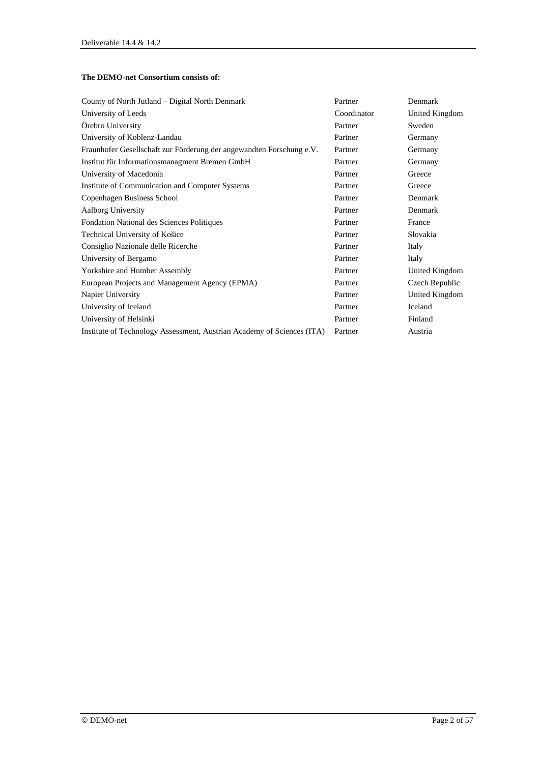#### **The DEMO-net Consortium consists of:**

| County of North Jutland – Digital North Denmark                        | Partner     | Denmark        |
|------------------------------------------------------------------------|-------------|----------------|
| University of Leeds                                                    | Coordinator | United Kingdom |
| Örebro University                                                      | Partner     | Sweden         |
| University of Koblenz-Landau                                           | Partner     | Germany        |
| Fraunhofer Gesellschaft zur Förderung der angewandten Forschung e.V.   | Partner     | Germany        |
| Institut für Informationsmanagment Bremen GmbH                         | Partner     | Germany        |
| University of Macedonia                                                | Partner     | Greece         |
| Institute of Communication and Computer Systems                        | Partner     | Greece         |
| Copenhagen Business School                                             | Partner     | Denmark        |
| <b>Aalborg University</b>                                              | Partner     | Denmark        |
| Fondation National des Sciences Politiques                             | Partner     | France         |
| Technical University of Košice                                         | Partner     | Slovakia       |
| Consiglio Nazionale delle Ricerche                                     | Partner     | Italy          |
| University of Bergamo                                                  | Partner     | Italy          |
| Yorkshire and Humber Assembly                                          | Partner     | United Kingdom |
| European Projects and Management Agency (EPMA)                         | Partner     | Czech Republic |
| Napier University                                                      | Partner     | United Kingdom |
| University of Iceland                                                  | Partner     | Iceland        |
| University of Helsinki                                                 | Partner     | Finland        |
| Institute of Technology Assessment, Austrian Academy of Sciences (ITA) | Partner     | Austria        |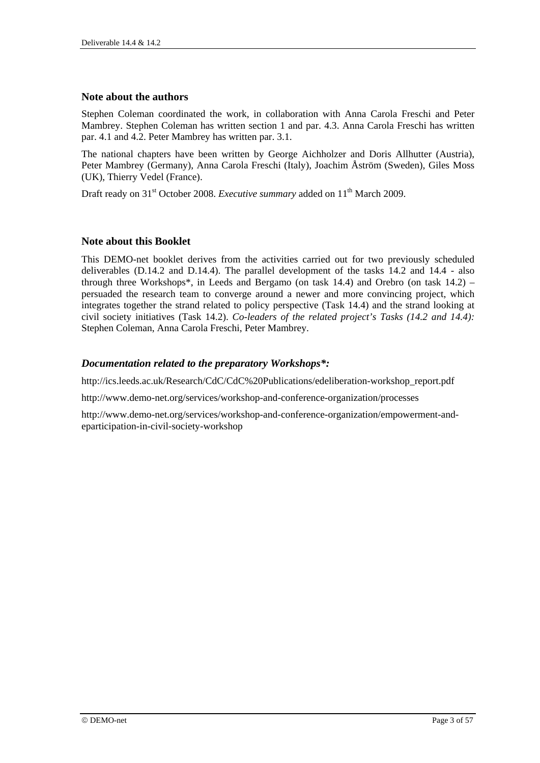#### **Note about the authors**

Stephen Coleman coordinated the work, in collaboration with Anna Carola Freschi and Peter Mambrey. Stephen Coleman has written section 1 and par. 4.3. Anna Carola Freschi has written par. 4.1 and 4.2. Peter Mambrey has written par. 3.1.

The national chapters have been written by George Aichholzer and Doris Allhutter (Austria), Peter Mambrey (Germany), Anna Carola Freschi (Italy), Joachim Åström (Sweden), Giles Moss (UK), Thierry Vedel (France).

Draft ready on 31<sup>st</sup> October 2008. *Executive summary* added on 11<sup>th</sup> March 2009.

#### **Note about this Booklet**

This DEMO-net booklet derives from the activities carried out for two previously scheduled deliverables (D.14.2 and D.14.4). The parallel development of the tasks 14.2 and 14.4 - also through three Workshops\*, in Leeds and Bergamo (on task 14.4) and Orebro (on task  $14.2$ ) – persuaded the research team to converge around a newer and more convincing project, which integrates together the strand related to policy perspective (Task 14.4) and the strand looking at civil society initiatives (Task 14.2). *Co-leaders of the related project's Tasks (14.2 and 14.4):*  Stephen Coleman, Anna Carola Freschi, Peter Mambrey.

#### *Documentation related to the preparatory Workshops\*:*

http://ics.leeds.ac.uk/Research/CdC/CdC%20Publications/edeliberation-workshop\_report.pdf

http://www.demo-net.org/services/workshop-and-conference-organization/processes

http://www.demo-net.org/services/workshop-and-conference-organization/empowerment-andeparticipation-in-civil-society-workshop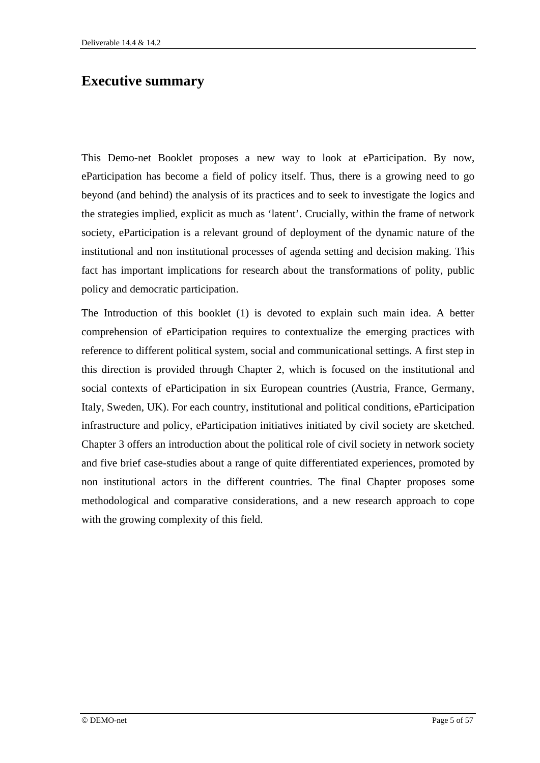## **Executive summary**

This Demo-net Booklet proposes a new way to look at eParticipation. By now, eParticipation has become a field of policy itself. Thus, there is a growing need to go beyond (and behind) the analysis of its practices and to seek to investigate the logics and the strategies implied, explicit as much as 'latent'. Crucially, within the frame of network society, eParticipation is a relevant ground of deployment of the dynamic nature of the institutional and non institutional processes of agenda setting and decision making. This fact has important implications for research about the transformations of polity, public policy and democratic participation.

The Introduction of this booklet (1) is devoted to explain such main idea. A better comprehension of eParticipation requires to contextualize the emerging practices with reference to different political system, social and communicational settings. A first step in this direction is provided through Chapter 2, which is focused on the institutional and social contexts of eParticipation in six European countries (Austria, France, Germany, Italy, Sweden, UK). For each country, institutional and political conditions, eParticipation infrastructure and policy, eParticipation initiatives initiated by civil society are sketched. Chapter 3 offers an introduction about the political role of civil society in network society and five brief case-studies about a range of quite differentiated experiences, promoted by non institutional actors in the different countries. The final Chapter proposes some methodological and comparative considerations, and a new research approach to cope with the growing complexity of this field.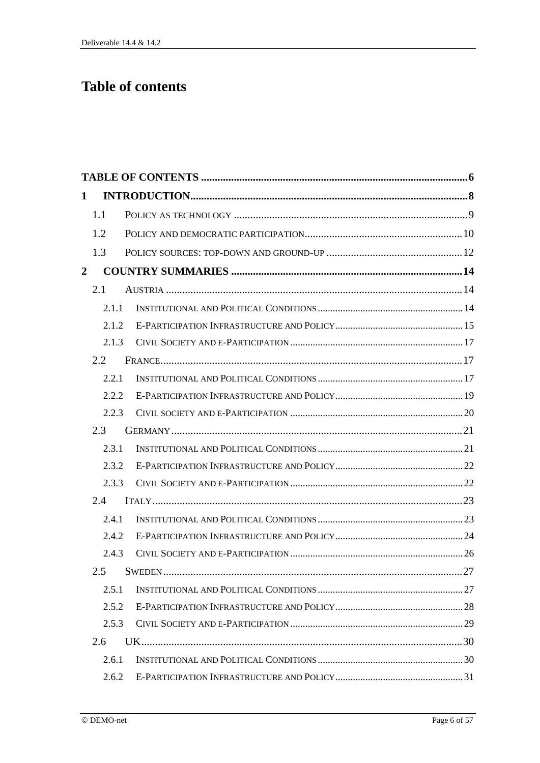# **Table of contents**

| $\mathbf{1}$   |       |  |  |  |  |
|----------------|-------|--|--|--|--|
|                | 1.1   |  |  |  |  |
|                | 1.2   |  |  |  |  |
|                | 1.3   |  |  |  |  |
| $\overline{2}$ |       |  |  |  |  |
|                | 2.1   |  |  |  |  |
|                | 2.1.1 |  |  |  |  |
|                | 2.1.2 |  |  |  |  |
|                | 2.1.3 |  |  |  |  |
|                | 2.2   |  |  |  |  |
|                | 2.2.1 |  |  |  |  |
|                | 2.2.2 |  |  |  |  |
|                | 2.2.3 |  |  |  |  |
|                | 2.3   |  |  |  |  |
|                | 2.3.1 |  |  |  |  |
|                | 2.3.2 |  |  |  |  |
|                | 2.3.3 |  |  |  |  |
|                | 2.4   |  |  |  |  |
|                | 2.4.1 |  |  |  |  |
|                | 2.4.2 |  |  |  |  |
|                | 2.4.3 |  |  |  |  |
|                | 2.5   |  |  |  |  |
|                | 2.5.1 |  |  |  |  |
|                | 2.5.2 |  |  |  |  |
|                | 2.5.3 |  |  |  |  |
|                | 2.6   |  |  |  |  |
|                | 2.6.1 |  |  |  |  |
|                | 2.6.2 |  |  |  |  |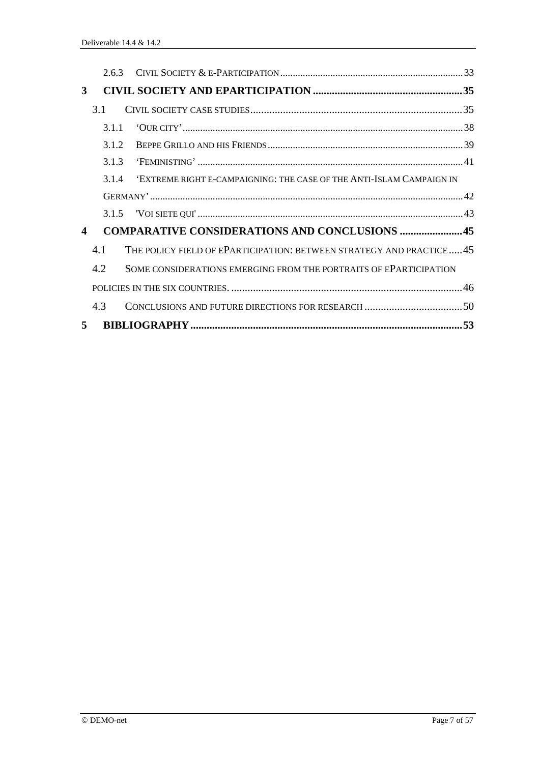|                       | 263   |                                                                      |  |
|-----------------------|-------|----------------------------------------------------------------------|--|
| $3^{\circ}$           |       |                                                                      |  |
|                       | 3.1   |                                                                      |  |
|                       | 311   |                                                                      |  |
|                       | 3.1.2 |                                                                      |  |
|                       | 3.1.3 |                                                                      |  |
|                       | 3.1.4 | 'EXTREME RIGHT E-CAMPAIGNING: THE CASE OF THE ANTI-ISLAM CAMPAIGN IN |  |
|                       |       |                                                                      |  |
|                       |       |                                                                      |  |
| $\boldsymbol{\Delta}$ |       | <b>COMPARATIVE CONSIDERATIONS AND CONCLUSIONS 45</b>                 |  |
|                       | 4.1   | THE POLICY FIELD OF EPARTICIPATION: BETWEEN STRATEGY AND PRACTICE45  |  |
|                       | 4.2   | SOME CONSIDERATIONS EMERGING FROM THE PORTRAITS OF EPARTICIPATION    |  |
|                       |       |                                                                      |  |
|                       | 4.3   |                                                                      |  |
| 5                     |       |                                                                      |  |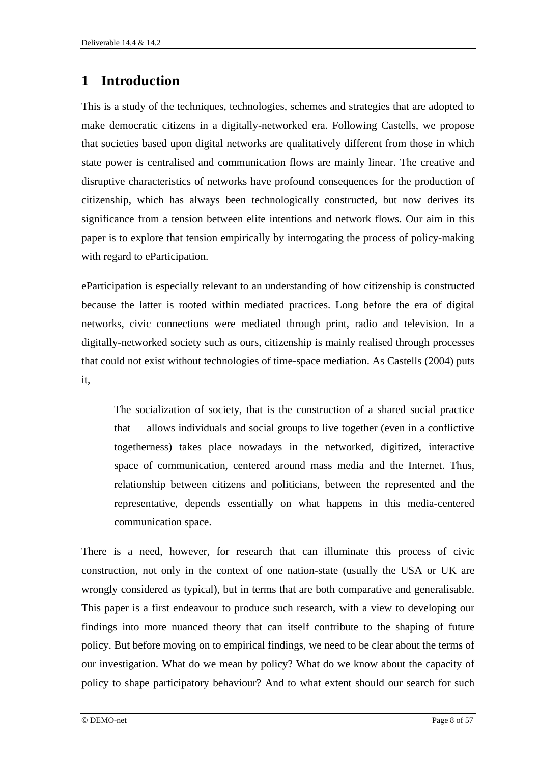## **1 Introduction**

This is a study of the techniques, technologies, schemes and strategies that are adopted to make democratic citizens in a digitally-networked era. Following Castells, we propose that societies based upon digital networks are qualitatively different from those in which state power is centralised and communication flows are mainly linear. The creative and disruptive characteristics of networks have profound consequences for the production of citizenship, which has always been technologically constructed, but now derives its significance from a tension between elite intentions and network flows. Our aim in this paper is to explore that tension empirically by interrogating the process of policy-making with regard to eParticipation.

eParticipation is especially relevant to an understanding of how citizenship is constructed because the latter is rooted within mediated practices. Long before the era of digital networks, civic connections were mediated through print, radio and television. In a digitally-networked society such as ours, citizenship is mainly realised through processes that could not exist without technologies of time-space mediation. As Castells (2004) puts it,

 The socialization of society, that is the construction of a shared social practice that allows individuals and social groups to live together (even in a conflictive togetherness) takes place nowadays in the networked, digitized, interactive space of communication, centered around mass media and the Internet. Thus, relationship between citizens and politicians, between the represented and the representative, depends essentially on what happens in this media-centered communication space.

There is a need, however, for research that can illuminate this process of civic construction, not only in the context of one nation-state (usually the USA or UK are wrongly considered as typical), but in terms that are both comparative and generalisable. This paper is a first endeavour to produce such research, with a view to developing our findings into more nuanced theory that can itself contribute to the shaping of future policy. But before moving on to empirical findings, we need to be clear about the terms of our investigation. What do we mean by policy? What do we know about the capacity of policy to shape participatory behaviour? And to what extent should our search for such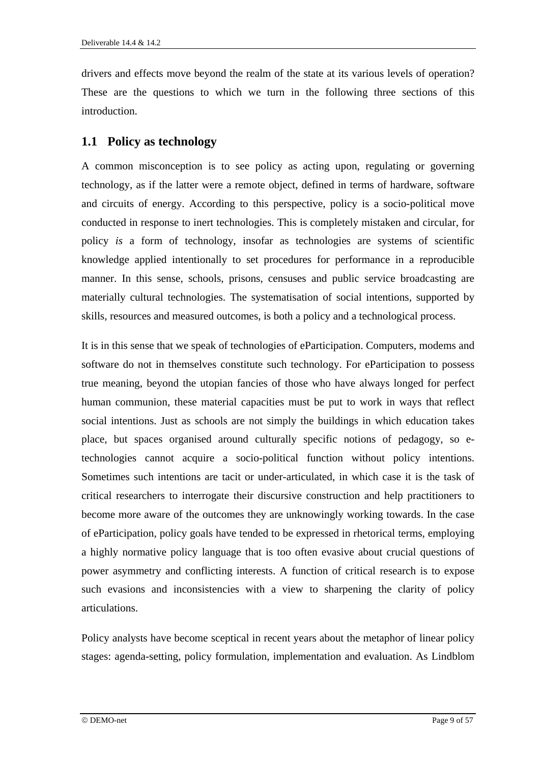drivers and effects move beyond the realm of the state at its various levels of operation? These are the questions to which we turn in the following three sections of this introduction.

#### **1.1 Policy as technology**

A common misconception is to see policy as acting upon, regulating or governing technology, as if the latter were a remote object, defined in terms of hardware, software and circuits of energy. According to this perspective, policy is a socio-political move conducted in response to inert technologies. This is completely mistaken and circular, for policy *is* a form of technology, insofar as technologies are systems of scientific knowledge applied intentionally to set procedures for performance in a reproducible manner. In this sense, schools, prisons, censuses and public service broadcasting are materially cultural technologies. The systematisation of social intentions, supported by skills, resources and measured outcomes, is both a policy and a technological process.

It is in this sense that we speak of technologies of eParticipation. Computers, modems and software do not in themselves constitute such technology. For eParticipation to possess true meaning, beyond the utopian fancies of those who have always longed for perfect human communion, these material capacities must be put to work in ways that reflect social intentions. Just as schools are not simply the buildings in which education takes place, but spaces organised around culturally specific notions of pedagogy, so etechnologies cannot acquire a socio-political function without policy intentions. Sometimes such intentions are tacit or under-articulated, in which case it is the task of critical researchers to interrogate their discursive construction and help practitioners to become more aware of the outcomes they are unknowingly working towards. In the case of eParticipation, policy goals have tended to be expressed in rhetorical terms, employing a highly normative policy language that is too often evasive about crucial questions of power asymmetry and conflicting interests. A function of critical research is to expose such evasions and inconsistencies with a view to sharpening the clarity of policy articulations.

Policy analysts have become sceptical in recent years about the metaphor of linear policy stages: agenda-setting, policy formulation, implementation and evaluation. As Lindblom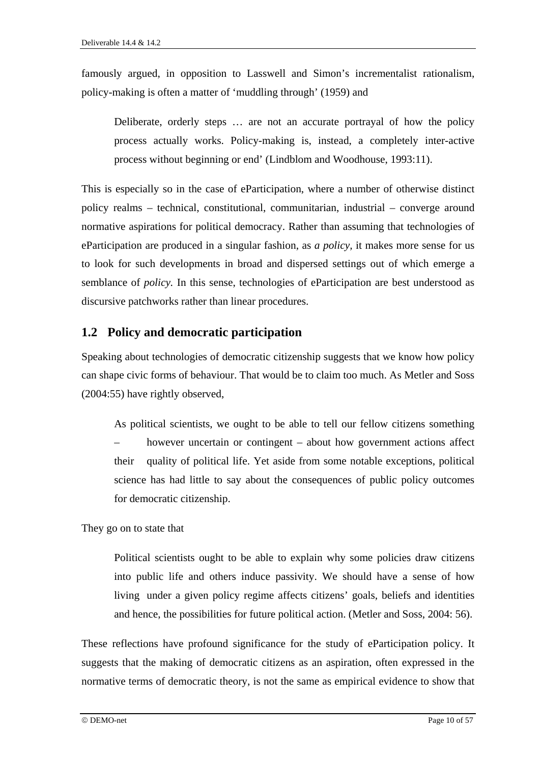famously argued, in opposition to Lasswell and Simon's incrementalist rationalism, policy-making is often a matter of 'muddling through' (1959) and

 Deliberate, orderly steps … are not an accurate portrayal of how the policy process actually works. Policy-making is, instead, a completely inter-active process without beginning or end' (Lindblom and Woodhouse, 1993:11).

This is especially so in the case of eParticipation, where a number of otherwise distinct policy realms – technical, constitutional, communitarian, industrial – converge around normative aspirations for political democracy. Rather than assuming that technologies of eParticipation are produced in a singular fashion, as *a policy,* it makes more sense for us to look for such developments in broad and dispersed settings out of which emerge a semblance of *policy.* In this sense, technologies of eParticipation are best understood as discursive patchworks rather than linear procedures.

#### **1.2 Policy and democratic participation**

Speaking about technologies of democratic citizenship suggests that we know how policy can shape civic forms of behaviour. That would be to claim too much. As Metler and Soss (2004:55) have rightly observed,

 As political scientists, we ought to be able to tell our fellow citizens something however uncertain or contingent – about how government actions affect their quality of political life. Yet aside from some notable exceptions, political science has had little to say about the consequences of public policy outcomes for democratic citizenship.

They go on to state that

 Political scientists ought to be able to explain why some policies draw citizens into public life and others induce passivity. We should have a sense of how living under a given policy regime affects citizens' goals, beliefs and identities and hence, the possibilities for future political action. (Metler and Soss, 2004: 56).

These reflections have profound significance for the study of eParticipation policy. It suggests that the making of democratic citizens as an aspiration, often expressed in the normative terms of democratic theory, is not the same as empirical evidence to show that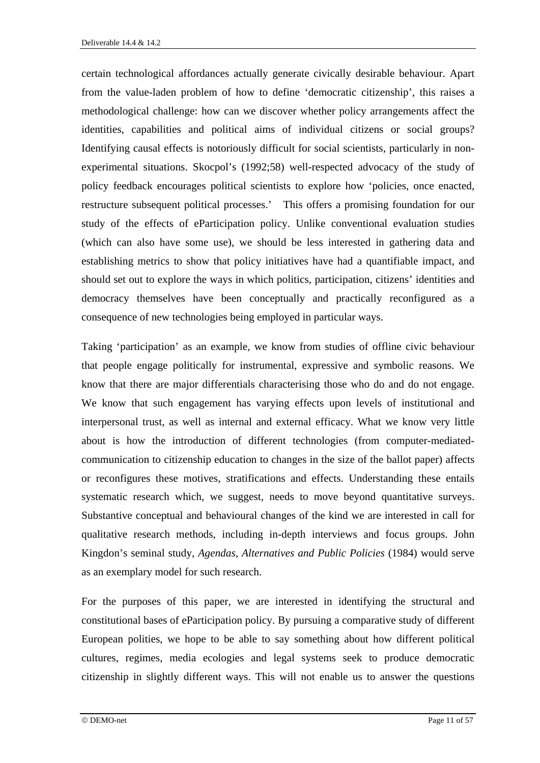certain technological affordances actually generate civically desirable behaviour. Apart from the value-laden problem of how to define 'democratic citizenship', this raises a methodological challenge: how can we discover whether policy arrangements affect the identities, capabilities and political aims of individual citizens or social groups? Identifying causal effects is notoriously difficult for social scientists, particularly in nonexperimental situations. Skocpol's (1992;58) well-respected advocacy of the study of policy feedback encourages political scientists to explore how 'policies, once enacted, restructure subsequent political processes.' This offers a promising foundation for our study of the effects of eParticipation policy. Unlike conventional evaluation studies (which can also have some use), we should be less interested in gathering data and establishing metrics to show that policy initiatives have had a quantifiable impact, and should set out to explore the ways in which politics, participation, citizens' identities and democracy themselves have been conceptually and practically reconfigured as a consequence of new technologies being employed in particular ways.

Taking 'participation' as an example, we know from studies of offline civic behaviour that people engage politically for instrumental, expressive and symbolic reasons. We know that there are major differentials characterising those who do and do not engage. We know that such engagement has varying effects upon levels of institutional and interpersonal trust, as well as internal and external efficacy. What we know very little about is how the introduction of different technologies (from computer-mediatedcommunication to citizenship education to changes in the size of the ballot paper) affects or reconfigures these motives, stratifications and effects. Understanding these entails systematic research which, we suggest, needs to move beyond quantitative surveys. Substantive conceptual and behavioural changes of the kind we are interested in call for qualitative research methods, including in-depth interviews and focus groups. John Kingdon's seminal study, *Agendas, Alternatives and Public Policies* (1984) would serve as an exemplary model for such research.

For the purposes of this paper, we are interested in identifying the structural and constitutional bases of eParticipation policy. By pursuing a comparative study of different European polities, we hope to be able to say something about how different political cultures, regimes, media ecologies and legal systems seek to produce democratic citizenship in slightly different ways. This will not enable us to answer the questions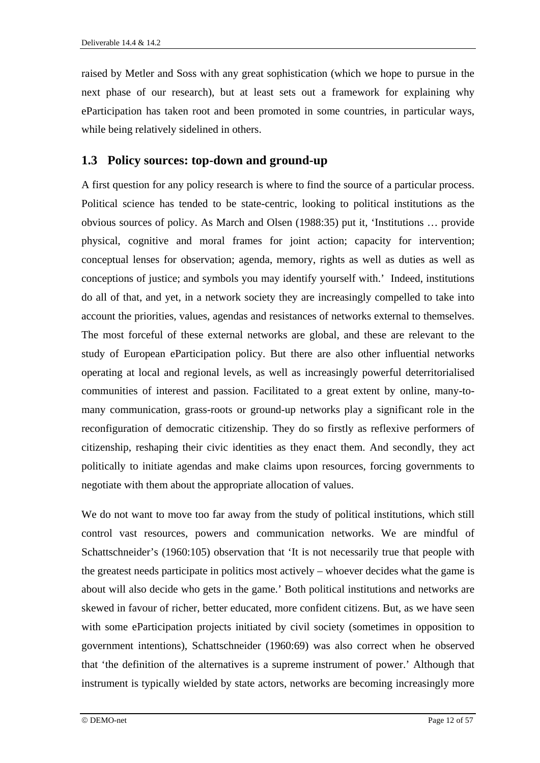raised by Metler and Soss with any great sophistication (which we hope to pursue in the next phase of our research), but at least sets out a framework for explaining why eParticipation has taken root and been promoted in some countries, in particular ways, while being relatively sidelined in others.

#### **1.3 Policy sources: top-down and ground-up**

A first question for any policy research is where to find the source of a particular process. Political science has tended to be state-centric, looking to political institutions as the obvious sources of policy. As March and Olsen (1988:35) put it, 'Institutions … provide physical, cognitive and moral frames for joint action; capacity for intervention; conceptual lenses for observation; agenda, memory, rights as well as duties as well as conceptions of justice; and symbols you may identify yourself with.' Indeed, institutions do all of that, and yet, in a network society they are increasingly compelled to take into account the priorities, values, agendas and resistances of networks external to themselves. The most forceful of these external networks are global, and these are relevant to the study of European eParticipation policy. But there are also other influential networks operating at local and regional levels, as well as increasingly powerful deterritorialised communities of interest and passion. Facilitated to a great extent by online, many-tomany communication, grass-roots or ground-up networks play a significant role in the reconfiguration of democratic citizenship. They do so firstly as reflexive performers of citizenship, reshaping their civic identities as they enact them. And secondly, they act politically to initiate agendas and make claims upon resources, forcing governments to negotiate with them about the appropriate allocation of values.

We do not want to move too far away from the study of political institutions, which still control vast resources, powers and communication networks. We are mindful of Schattschneider's (1960:105) observation that 'It is not necessarily true that people with the greatest needs participate in politics most actively – whoever decides what the game is about will also decide who gets in the game.' Both political institutions and networks are skewed in favour of richer, better educated, more confident citizens. But, as we have seen with some eParticipation projects initiated by civil society (sometimes in opposition to government intentions), Schattschneider (1960:69) was also correct when he observed that 'the definition of the alternatives is a supreme instrument of power.' Although that instrument is typically wielded by state actors, networks are becoming increasingly more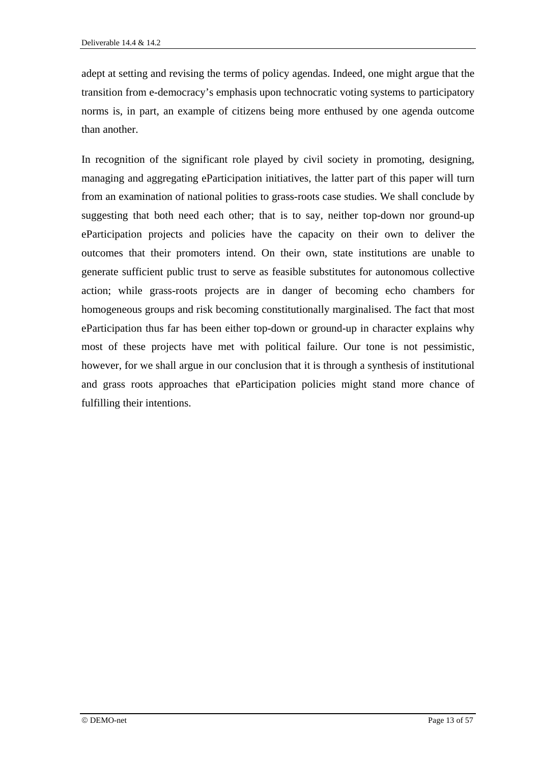adept at setting and revising the terms of policy agendas. Indeed, one might argue that the transition from e-democracy's emphasis upon technocratic voting systems to participatory norms is, in part, an example of citizens being more enthused by one agenda outcome than another.

In recognition of the significant role played by civil society in promoting, designing, managing and aggregating eParticipation initiatives, the latter part of this paper will turn from an examination of national polities to grass-roots case studies. We shall conclude by suggesting that both need each other; that is to say, neither top-down nor ground-up eParticipation projects and policies have the capacity on their own to deliver the outcomes that their promoters intend. On their own, state institutions are unable to generate sufficient public trust to serve as feasible substitutes for autonomous collective action; while grass-roots projects are in danger of becoming echo chambers for homogeneous groups and risk becoming constitutionally marginalised. The fact that most eParticipation thus far has been either top-down or ground-up in character explains why most of these projects have met with political failure. Our tone is not pessimistic, however, for we shall argue in our conclusion that it is through a synthesis of institutional and grass roots approaches that eParticipation policies might stand more chance of fulfilling their intentions.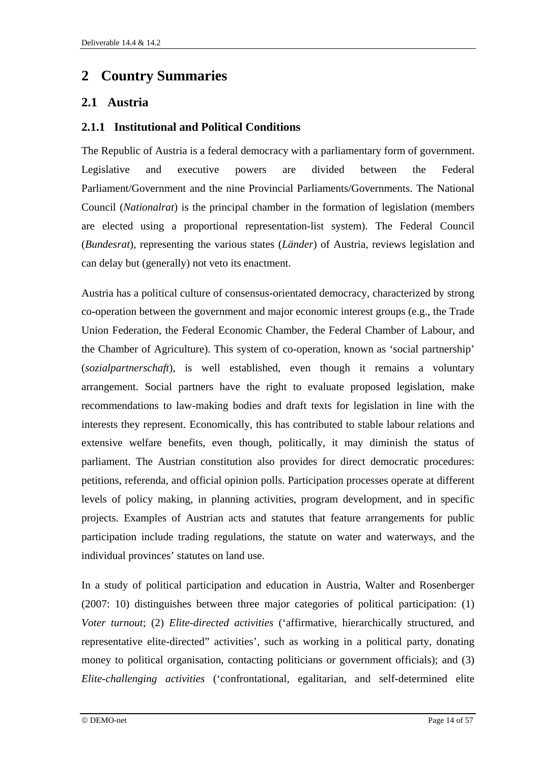## **2 Country Summaries**

### **2.1 Austria**

#### **2.1.1 Institutional and Political Conditions**

The Republic of Austria is a federal democracy with a parliamentary form of government. Legislative and executive powers are divided between the Federal Parliament/Government and the nine Provincial Parliaments/Governments. The National Council (*Nationalrat*) is the principal chamber in the formation of legislation (members are elected using a proportional representation-list system). The Federal Council (*Bundesrat*)*,* representing the various states (*Länder*) of Austria, reviews legislation and can delay but (generally) not veto its enactment.

Austria has a political culture of consensus-orientated democracy, characterized by strong co-operation between the government and major economic interest groups (e.g., the Trade Union Federation, the Federal Economic Chamber, the Federal Chamber of Labour, and the Chamber of Agriculture). This system of co-operation, known as 'social partnership' (*sozialpartnerschaft*), is well established, even though it remains a voluntary arrangement. Social partners have the right to evaluate proposed legislation, make recommendations to law-making bodies and draft texts for legislation in line with the interests they represent. Economically, this has contributed to stable labour relations and extensive welfare benefits, even though, politically, it may diminish the status of parliament. The Austrian constitution also provides for direct democratic procedures: petitions, referenda, and official opinion polls. Participation processes operate at different levels of policy making, in planning activities, program development, and in specific projects. Examples of Austrian acts and statutes that feature arrangements for public participation include trading regulations, the statute on water and waterways, and the individual provinces' statutes on land use.

In a study of political participation and education in Austria, Walter and Rosenberger (2007: 10) distinguishes between three major categories of political participation: (1) *Voter turnout*; (2) *Elite-directed activities* ('affirmative, hierarchically structured, and representative elite-directed" activities', such as working in a political party, donating money to political organisation, contacting politicians or government officials); and (3) *Elite-challenging activities* ('confrontational, egalitarian, and self-determined elite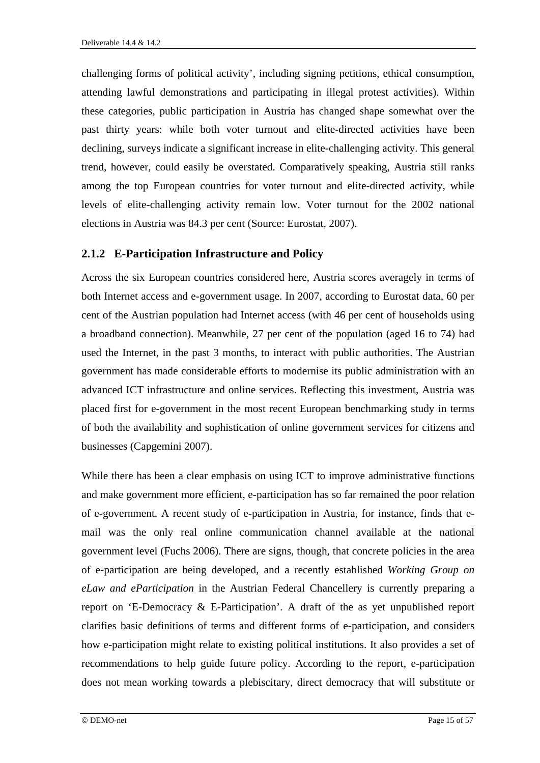challenging forms of political activity', including signing petitions, ethical consumption, attending lawful demonstrations and participating in illegal protest activities). Within these categories, public participation in Austria has changed shape somewhat over the past thirty years: while both voter turnout and elite-directed activities have been declining, surveys indicate a significant increase in elite-challenging activity. This general trend, however, could easily be overstated. Comparatively speaking, Austria still ranks among the top European countries for voter turnout and elite-directed activity, while levels of elite-challenging activity remain low. Voter turnout for the 2002 national elections in Austria was 84.3 per cent (Source: Eurostat, 2007).

#### **2.1.2 E-Participation Infrastructure and Policy**

Across the six European countries considered here, Austria scores averagely in terms of both Internet access and e-government usage. In 2007, according to Eurostat data, 60 per cent of the Austrian population had Internet access (with 46 per cent of households using a broadband connection). Meanwhile, 27 per cent of the population (aged 16 to 74) had used the Internet, in the past 3 months, to interact with public authorities. The Austrian government has made considerable efforts to modernise its public administration with an advanced ICT infrastructure and online services. Reflecting this investment, Austria was placed first for e-government in the most recent European benchmarking study in terms of both the availability and sophistication of online government services for citizens and businesses (Capgemini 2007).

While there has been a clear emphasis on using ICT to improve administrative functions and make government more efficient, e-participation has so far remained the poor relation of e-government. A recent study of e-participation in Austria, for instance, finds that email was the only real online communication channel available at the national government level (Fuchs 2006). There are signs, though, that concrete policies in the area of e-participation are being developed, and a recently established *Working Group on eLaw and eParticipation* in the Austrian Federal Chancellery is currently preparing a report on 'E-Democracy & E-Participation'. A draft of the as yet unpublished report clarifies basic definitions of terms and different forms of e-participation, and considers how e-participation might relate to existing political institutions. It also provides a set of recommendations to help guide future policy. According to the report, e-participation does not mean working towards a plebiscitary, direct democracy that will substitute or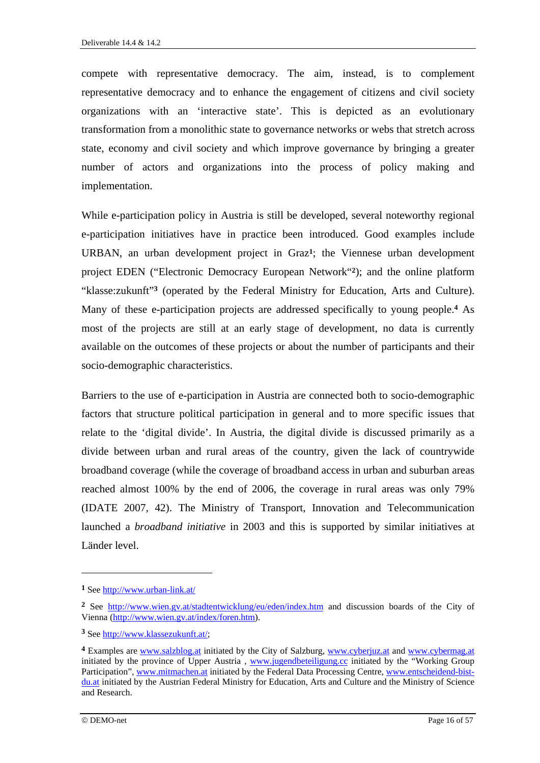compete with representative democracy. The aim, instead, is to complement representative democracy and to enhance the engagement of citizens and civil society organizations with an 'interactive state'. This is depicted as an evolutionary transformation from a monolithic state to governance networks or webs that stretch across state, economy and civil society and which improve governance by bringing a greater number of actors and organizations into the process of policy making and implementation.

While e-participation policy in Austria is still be developed, several noteworthy regional e-participation initiatives have in practice been introduced. Good examples include URBAN, an urban development project in Graz**1**; the Viennese urban development project EDEN ("Electronic Democracy European Network"**2**); and the online platform "klasse:zukunft"**3** (operated by the Federal Ministry for Education, Arts and Culture). Many of these e-participation projects are addressed specifically to young people.**4** As most of the projects are still at an early stage of development, no data is currently available on the outcomes of these projects or about the number of participants and their socio-demographic characteristics.

Barriers to the use of e-participation in Austria are connected both to socio-demographic factors that structure political participation in general and to more specific issues that relate to the 'digital divide'. In Austria, the digital divide is discussed primarily as a divide between urban and rural areas of the country, given the lack of countrywide broadband coverage (while the coverage of broadband access in urban and suburban areas reached almost 100% by the end of 2006, the coverage in rural areas was only 79% (IDATE 2007, 42). The Ministry of Transport, Innovation and Telecommunication launched a *broadband initiative* in 2003 and this is supported by similar initiatives at Länder level.

**<sup>1</sup>** See http://www.urban-link.at/

**<sup>2</sup>** See http://www.wien.gv.at/stadtentwicklung/eu/eden/index.htm and discussion boards of the City of Vienna (http://www.wien.gv.at/index/foren.htm).

**<sup>3</sup>** See http://www.klassezukunft.at/;

**<sup>4</sup>** Examples are www.salzblog.at initiated by the City of Salzburg, www.cyberjuz.at and www.cybermag.at initiated by the province of Upper Austria , www.jugendbeteiligung.cc initiated by the "Working Group Participation", www.mitmachen.at initiated by the Federal Data Processing Centre, www.entscheidend-bistdu.at initiated by the Austrian Federal Ministry for Education, Arts and Culture and the Ministry of Science and Research.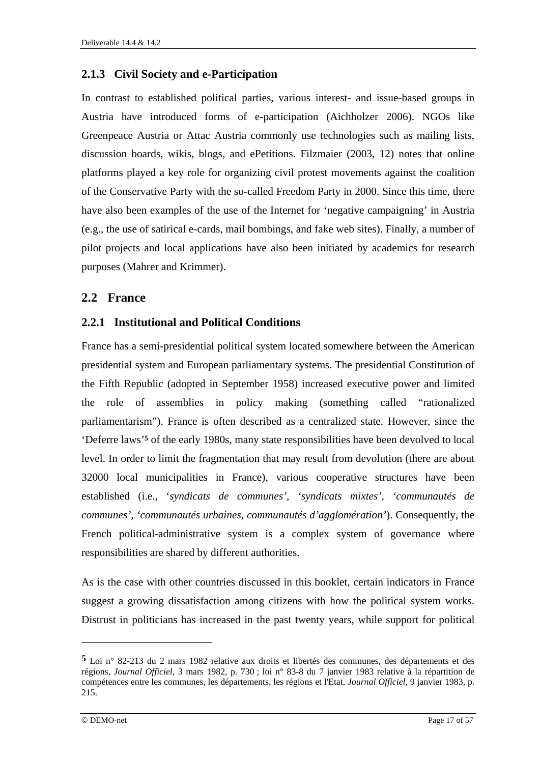#### **2.1.3 Civil Society and e-Participation**

In contrast to established political parties, various interest- and issue-based groups in Austria have introduced forms of e-participation (Aichholzer 2006). NGOs like Greenpeace Austria or Attac Austria commonly use technologies such as mailing lists, discussion boards, wikis, blogs, and ePetitions. Filzmaier (2003, 12) notes that online platforms played a key role for organizing civil protest movements against the coalition of the Conservative Party with the so-called Freedom Party in 2000. Since this time, there have also been examples of the use of the Internet for 'negative campaigning' in Austria (e.g., the use of satirical e-cards, mail bombings, and fake web sites). Finally, a number of pilot projects and local applications have also been initiated by academics for research purposes (Mahrer and Krimmer).

#### **2.2 France**

#### **2.2.1 Institutional and Political Conditions**

France has a semi-presidential political system located somewhere between the American presidential system and European parliamentary systems. The presidential Constitution of the Fifth Republic (adopted in September 1958) increased executive power and limited the role of assemblies in policy making (something called "rationalized parliamentarism"). France is often described as a centralized state. However, since the 'Deferre laws'**5** of the early 1980s, many state responsibilities have been devolved to local level. In order to limit the fragmentation that may result from devolution (there are about 32000 local municipalities in France), various cooperative structures have been established (i.e., '*syndicats de communes', 'syndicats mixtes', 'communautés de communes', 'communautés urbaines, communautés d'agglomération'*). Consequently, the French political-administrative system is a complex system of governance where responsibilities are shared by different authorities.

As is the case with other countries discussed in this booklet, certain indicators in France suggest a growing dissatisfaction among citizens with how the political system works. Distrust in politicians has increased in the past twenty years, while support for political

**<sup>5</sup>** Loi n° 82-213 du 2 mars 1982 relative aux droits et libertés des communes, des départements et des régions, *Journal Officiel*, 3 mars 1982, p. 730 ; loi n° 83-8 du 7 janvier 1983 relative à la répartition de compétences entre les communes, les départements, les régions et l'Etat, *Journal Officiel*, 9 janvier 1983, p. 215.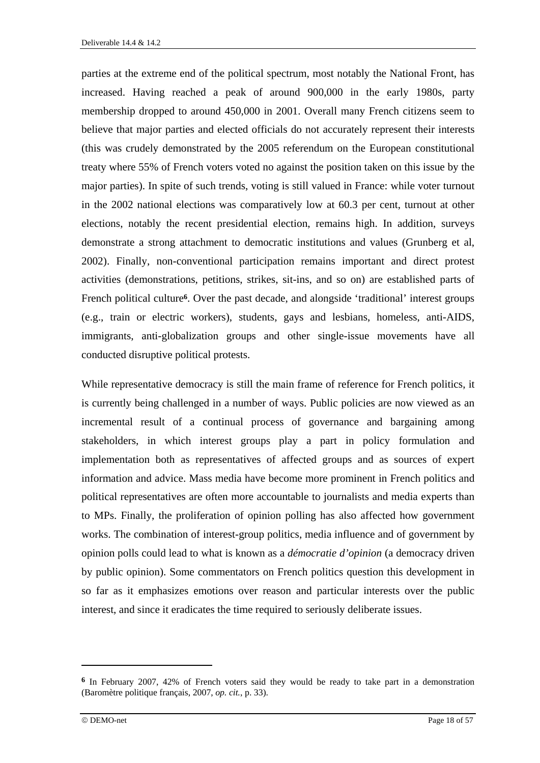parties at the extreme end of the political spectrum, most notably the National Front, has increased. Having reached a peak of around 900,000 in the early 1980s, party membership dropped to around 450,000 in 2001. Overall many French citizens seem to believe that major parties and elected officials do not accurately represent their interests (this was crudely demonstrated by the 2005 referendum on the European constitutional treaty where 55% of French voters voted no against the position taken on this issue by the major parties). In spite of such trends, voting is still valued in France: while voter turnout in the 2002 national elections was comparatively low at 60.3 per cent, turnout at other elections, notably the recent presidential election, remains high. In addition, surveys demonstrate a strong attachment to democratic institutions and values (Grunberg et al, 2002). Finally, non-conventional participation remains important and direct protest activities (demonstrations, petitions, strikes, sit-ins, and so on) are established parts of French political culture**6**. Over the past decade, and alongside 'traditional' interest groups (e.g., train or electric workers), students, gays and lesbians, homeless, anti-AIDS, immigrants, anti-globalization groups and other single-issue movements have all conducted disruptive political protests.

While representative democracy is still the main frame of reference for French politics, it is currently being challenged in a number of ways. Public policies are now viewed as an incremental result of a continual process of governance and bargaining among stakeholders, in which interest groups play a part in policy formulation and implementation both as representatives of affected groups and as sources of expert information and advice. Mass media have become more prominent in French politics and political representatives are often more accountable to journalists and media experts than to MPs. Finally, the proliferation of opinion polling has also affected how government works. The combination of interest-group politics, media influence and of government by opinion polls could lead to what is known as a *démocratie d'opinion* (a democracy driven by public opinion). Some commentators on French politics question this development in so far as it emphasizes emotions over reason and particular interests over the public interest, and since it eradicates the time required to seriously deliberate issues.

**<sup>6</sup>** In February 2007, 42% of French voters said they would be ready to take part in a demonstration (Baromètre politique français, 2007, *op. cit.*, p. 33).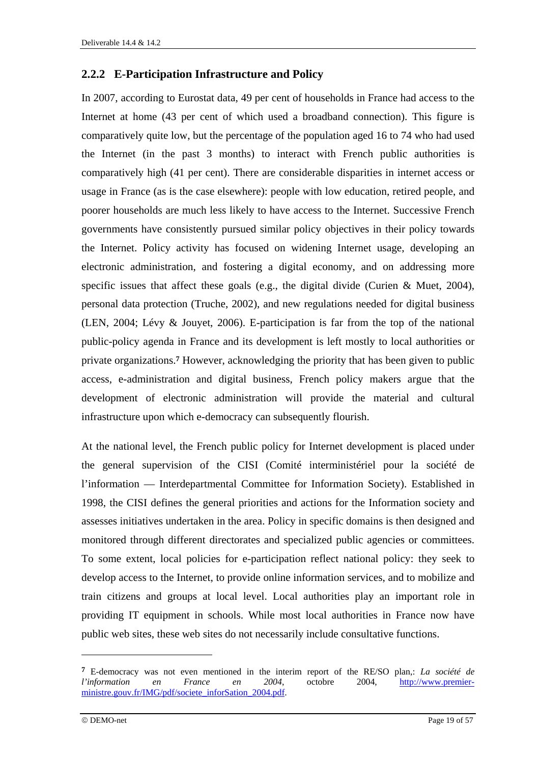#### **2.2.2 E-Participation Infrastructure and Policy**

In 2007, according to Eurostat data, 49 per cent of households in France had access to the Internet at home (43 per cent of which used a broadband connection). This figure is comparatively quite low, but the percentage of the population aged 16 to 74 who had used the Internet (in the past 3 months) to interact with French public authorities is comparatively high (41 per cent). There are considerable disparities in internet access or usage in France (as is the case elsewhere): people with low education, retired people, and poorer households are much less likely to have access to the Internet. Successive French governments have consistently pursued similar policy objectives in their policy towards the Internet. Policy activity has focused on widening Internet usage, developing an electronic administration, and fostering a digital economy, and on addressing more specific issues that affect these goals (e.g., the digital divide (Curien & Muet, 2004), personal data protection (Truche, 2002), and new regulations needed for digital business (LEN, 2004; Lévy & Jouyet, 2006). E-participation is far from the top of the national public-policy agenda in France and its development is left mostly to local authorities or private organizations.**7** However, acknowledging the priority that has been given to public access, e-administration and digital business, French policy makers argue that the development of electronic administration will provide the material and cultural infrastructure upon which e-democracy can subsequently flourish.

At the national level, the French public policy for Internet development is placed under the general supervision of the CISI (Comité interministériel pour la société de l'information — Interdepartmental Committee for Information Society). Established in 1998, the CISI defines the general priorities and actions for the Information society and assesses initiatives undertaken in the area. Policy in specific domains is then designed and monitored through different directorates and specialized public agencies or committees. To some extent, local policies for e-participation reflect national policy: they seek to develop access to the Internet, to provide online information services, and to mobilize and train citizens and groups at local level. Local authorities play an important role in providing IT equipment in schools. While most local authorities in France now have public web sites, these web sites do not necessarily include consultative functions.

**<sup>7</sup>** E-democracy was not even mentioned in the interim report of the RE/SO plan,: *La société de l'information en France en 2004*, octobre 2004, http://www.premierministre.gouv.fr/IMG/pdf/societe\_inforSation\_2004.pdf.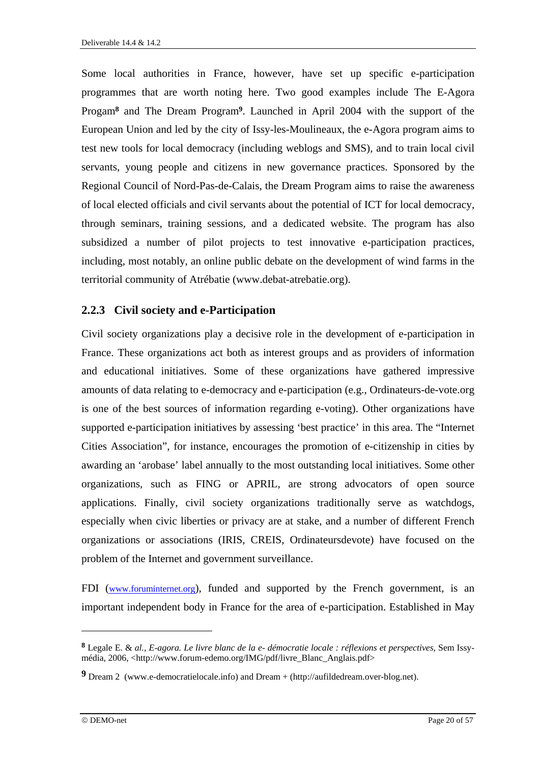Some local authorities in France, however, have set up specific e-participation programmes that are worth noting here. Two good examples include The E-Agora Progam**8** and The Dream Program**9**. Launched in April 2004 with the support of the European Union and led by the city of Issy-les-Moulineaux, the e-Agora program aims to test new tools for local democracy (including weblogs and SMS), and to train local civil servants, young people and citizens in new governance practices. Sponsored by the Regional Council of Nord-Pas-de-Calais, the Dream Program aims to raise the awareness of local elected officials and civil servants about the potential of ICT for local democracy, through seminars, training sessions, and a dedicated website. The program has also subsidized a number of pilot projects to test innovative e-participation practices, including, most notably, an online public debate on the development of wind farms in the territorial community of Atrébatie (www.debat-atrebatie.org).

#### **2.2.3 Civil society and e-Participation**

Civil society organizations play a decisive role in the development of e-participation in France. These organizations act both as interest groups and as providers of information and educational initiatives. Some of these organizations have gathered impressive amounts of data relating to e-democracy and e-participation (e.g., Ordinateurs-de-vote.org is one of the best sources of information regarding e-voting). Other organizations have supported e-participation initiatives by assessing 'best practice' in this area. The "Internet Cities Association", for instance, encourages the promotion of e-citizenship in cities by awarding an 'arobase' label annually to the most outstanding local initiatives. Some other organizations, such as FING or APRIL, are strong advocators of open source applications. Finally, civil society organizations traditionally serve as watchdogs, especially when civic liberties or privacy are at stake, and a number of different French organizations or associations (IRIS, CREIS, Ordinateursdevote) have focused on the problem of the Internet and government surveillance.

FDI (www.foruminternet.org), funded and supported by the French government, is an important independent body in France for the area of e-participation. Established in May

**<sup>8</sup>** Legale E. & *al.*, *E-agora. Le livre blanc de la e- démocratie locale : réflexions et perspectives*, Sem Issymédia, 2006, <http://www.forum-edemo.org/IMG/pdf/livre\_Blanc\_Anglais.pdf>

**<sup>9</sup>** Dream 2 (www.e-democratielocale.info) and Dream + (http://aufildedream.over-blog.net).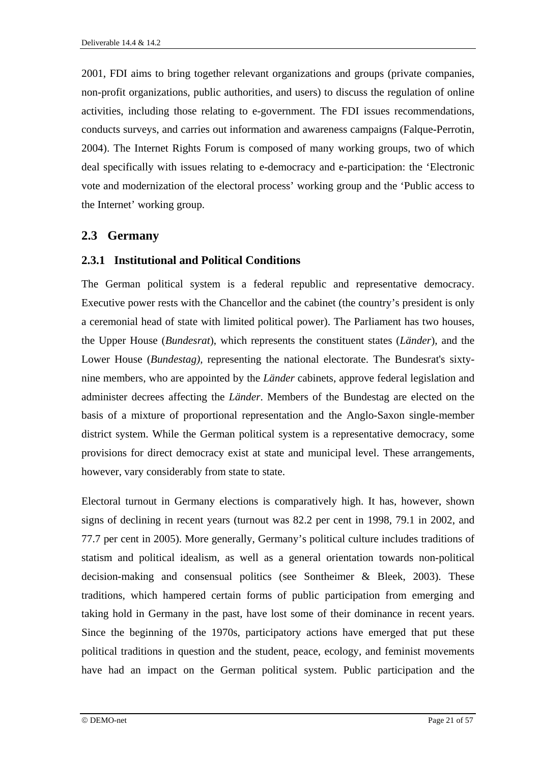2001, FDI aims to bring together relevant organizations and groups (private companies, non-profit organizations, public authorities, and users) to discuss the regulation of online activities, including those relating to e-government. The FDI issues recommendations, conducts surveys, and carries out information and awareness campaigns (Falque-Perrotin, 2004). The Internet Rights Forum is composed of many working groups, two of which deal specifically with issues relating to e-democracy and e-participation: the 'Electronic vote and modernization of the electoral process' working group and the 'Public access to the Internet' working group.

#### **2.3 Germany**

#### **2.3.1 Institutional and Political Conditions**

The German political system is a federal republic and representative democracy. Executive power rests with the Chancellor and the cabinet (the country's president is only a ceremonial head of state with limited political power). The Parliament has two houses, the Upper House (*Bundesrat*), which represents the constituent states (*Länder*), and the Lower House (*Bundestag),* representing the national electorate. The Bundesrat's sixtynine members, who are appointed by the *Länder* cabinets, approve federal legislation and administer decrees affecting the *Länder*. Members of the Bundestag are elected on the basis of a mixture of proportional representation and the Anglo-Saxon single-member district system. While the German political system is a representative democracy, some provisions for direct democracy exist at state and municipal level. These arrangements, however, vary considerably from state to state.

Electoral turnout in Germany elections is comparatively high. It has, however, shown signs of declining in recent years (turnout was 82.2 per cent in 1998, 79.1 in 2002, and 77.7 per cent in 2005). More generally, Germany's political culture includes traditions of statism and political idealism, as well as a general orientation towards non-political decision-making and consensual politics (see Sontheimer & Bleek, 2003). These traditions, which hampered certain forms of public participation from emerging and taking hold in Germany in the past, have lost some of their dominance in recent years. Since the beginning of the 1970s, participatory actions have emerged that put these political traditions in question and the student, peace, ecology, and feminist movements have had an impact on the German political system. Public participation and the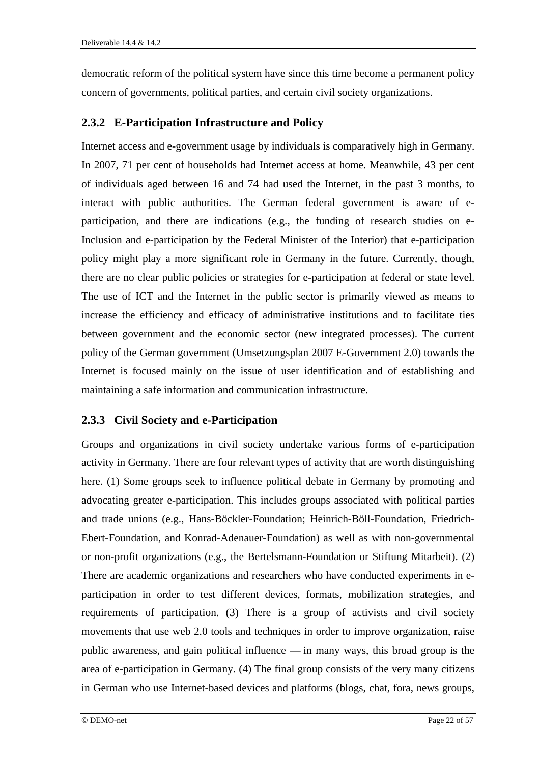democratic reform of the political system have since this time become a permanent policy concern of governments, political parties, and certain civil society organizations.

#### **2.3.2 E-Participation Infrastructure and Policy**

Internet access and e-government usage by individuals is comparatively high in Germany. In 2007, 71 per cent of households had Internet access at home. Meanwhile, 43 per cent of individuals aged between 16 and 74 had used the Internet, in the past 3 months, to interact with public authorities. The German federal government is aware of eparticipation, and there are indications (e.g., the funding of research studies on e-Inclusion and e-participation by the Federal Minister of the Interior) that e-participation policy might play a more significant role in Germany in the future. Currently, though, there are no clear public policies or strategies for e-participation at federal or state level. The use of ICT and the Internet in the public sector is primarily viewed as means to increase the efficiency and efficacy of administrative institutions and to facilitate ties between government and the economic sector (new integrated processes). The current policy of the German government (Umsetzungsplan 2007 E-Government 2.0) towards the Internet is focused mainly on the issue of user identification and of establishing and maintaining a safe information and communication infrastructure.

#### **2.3.3 Civil Society and e-Participation**

Groups and organizations in civil society undertake various forms of e-participation activity in Germany. There are four relevant types of activity that are worth distinguishing here. (1) Some groups seek to influence political debate in Germany by promoting and advocating greater e-participation. This includes groups associated with political parties and trade unions (e.g., Hans-Böckler-Foundation; Heinrich-Böll-Foundation, Friedrich-Ebert-Foundation, and Konrad-Adenauer-Foundation) as well as with non-governmental or non-profit organizations (e.g., the Bertelsmann-Foundation or Stiftung Mitarbeit). (2) There are academic organizations and researchers who have conducted experiments in eparticipation in order to test different devices, formats, mobilization strategies, and requirements of participation. (3) There is a group of activists and civil society movements that use web 2.0 tools and techniques in order to improve organization, raise public awareness, and gain political influence — in many ways, this broad group is the area of e-participation in Germany. (4) The final group consists of the very many citizens in German who use Internet-based devices and platforms (blogs, chat, fora, news groups,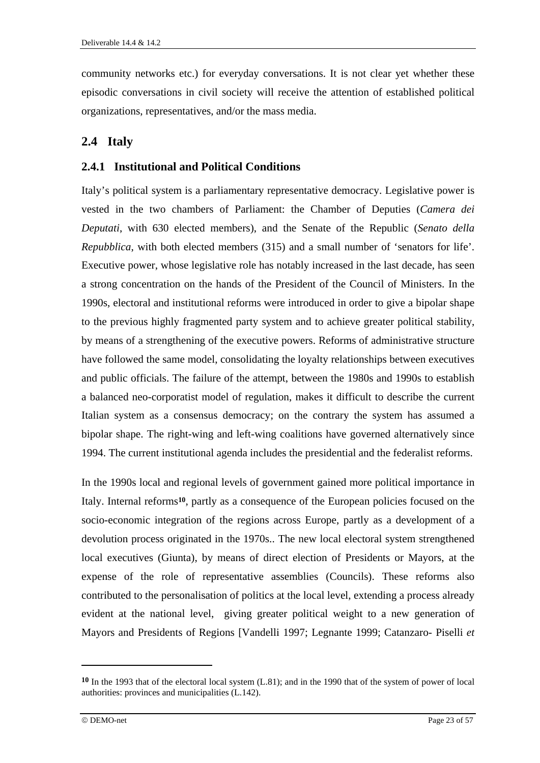community networks etc.) for everyday conversations. It is not clear yet whether these episodic conversations in civil society will receive the attention of established political organizations, representatives, and/or the mass media.

#### **2.4 Italy**

#### **2.4.1 Institutional and Political Conditions**

Italy's political system is a parliamentary representative democracy. Legislative power is vested in the two chambers of Parliament: the Chamber of Deputies (*Camera dei Deputati*, with 630 elected members), and the Senate of the Republic (*Senato della Repubblica*, with both elected members (315) and a small number of 'senators for life'. Executive power, whose legislative role has notably increased in the last decade, has seen a strong concentration on the hands of the President of the Council of Ministers. In the 1990s, electoral and institutional reforms were introduced in order to give a bipolar shape to the previous highly fragmented party system and to achieve greater political stability, by means of a strengthening of the executive powers. Reforms of administrative structure have followed the same model, consolidating the loyalty relationships between executives and public officials. The failure of the attempt, between the 1980s and 1990s to establish a balanced neo-corporatist model of regulation, makes it difficult to describe the current Italian system as a consensus democracy; on the contrary the system has assumed a bipolar shape. The right-wing and left-wing coalitions have governed alternatively since 1994. The current institutional agenda includes the presidential and the federalist reforms.

In the 1990s local and regional levels of government gained more political importance in Italy. Internal reforms**10**, partly as a consequence of the European policies focused on the socio-economic integration of the regions across Europe, partly as a development of a devolution process originated in the 1970s.. The new local electoral system strengthened local executives (Giunta), by means of direct election of Presidents or Mayors, at the expense of the role of representative assemblies (Councils). These reforms also contributed to the personalisation of politics at the local level, extending a process already evident at the national level, giving greater political weight to a new generation of Mayors and Presidents of Regions [Vandelli 1997; Legnante 1999; Catanzaro- Piselli *et* 

**<sup>10</sup>** In the 1993 that of the electoral local system (L.81); and in the 1990 that of the system of power of local authorities: provinces and municipalities (L.142).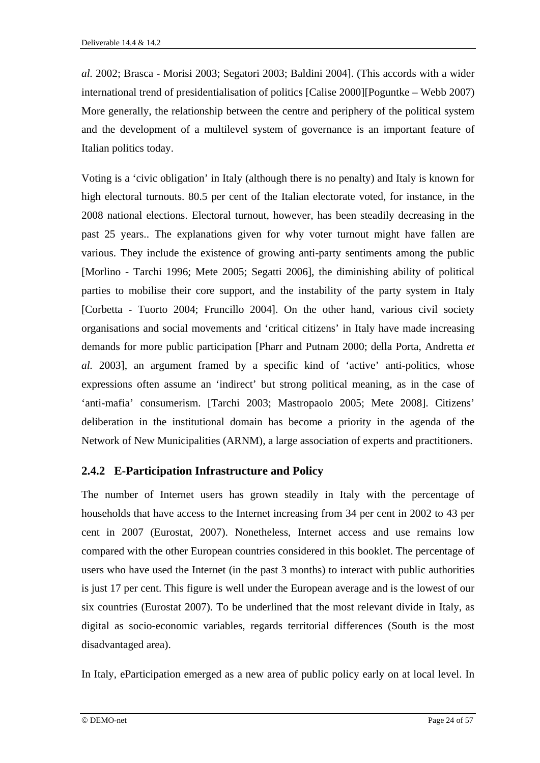*al.* 2002; Brasca - Morisi 2003; Segatori 2003; Baldini 2004]. (This accords with a wider international trend of presidentialisation of politics [Calise 2000][Poguntke – Webb 2007) More generally, the relationship between the centre and periphery of the political system and the development of a multilevel system of governance is an important feature of Italian politics today.

Voting is a 'civic obligation' in Italy (although there is no penalty) and Italy is known for high electoral turnouts. 80.5 per cent of the Italian electorate voted, for instance, in the 2008 national elections. Electoral turnout, however, has been steadily decreasing in the past 25 years.. The explanations given for why voter turnout might have fallen are various. They include the existence of growing anti-party sentiments among the public [Morlino - Tarchi 1996; Mete 2005; Segatti 2006], the diminishing ability of political parties to mobilise their core support, and the instability of the party system in Italy [Corbetta - Tuorto 2004; Fruncillo 2004]. On the other hand, various civil society organisations and social movements and 'critical citizens' in Italy have made increasing demands for more public participation [Pharr and Putnam 2000; della Porta, Andretta *et al.* 2003], an argument framed by a specific kind of 'active' anti-politics, whose expressions often assume an 'indirect' but strong political meaning, as in the case of 'anti-mafia' consumerism. [Tarchi 2003; Mastropaolo 2005; Mete 2008]. Citizens' deliberation in the institutional domain has become a priority in the agenda of the Network of New Municipalities (ARNM), a large association of experts and practitioners.

#### **2.4.2 E-Participation Infrastructure and Policy**

The number of Internet users has grown steadily in Italy with the percentage of households that have access to the Internet increasing from 34 per cent in 2002 to 43 per cent in 2007 (Eurostat, 2007). Nonetheless, Internet access and use remains low compared with the other European countries considered in this booklet. The percentage of users who have used the Internet (in the past 3 months) to interact with public authorities is just 17 per cent. This figure is well under the European average and is the lowest of our six countries (Eurostat 2007). To be underlined that the most relevant divide in Italy, as digital as socio-economic variables, regards territorial differences (South is the most disadvantaged area).

In Italy, eParticipation emerged as a new area of public policy early on at local level. In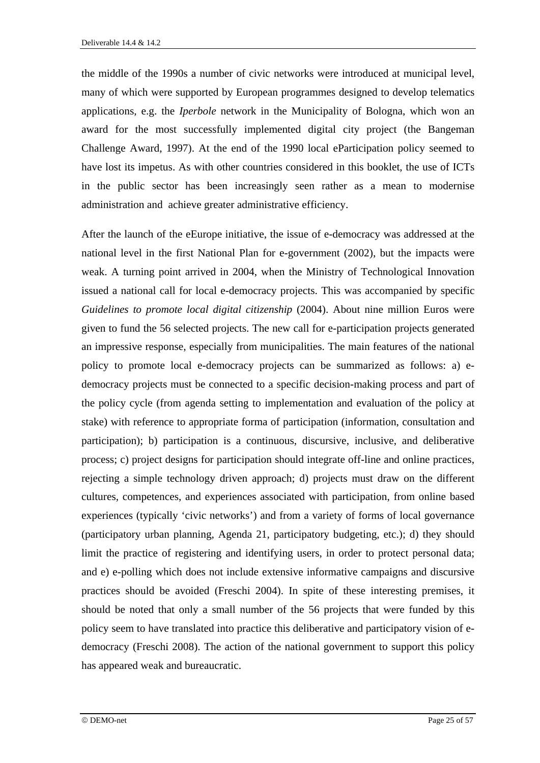the middle of the 1990s a number of civic networks were introduced at municipal level, many of which were supported by European programmes designed to develop telematics applications, e.g. the *Iperbole* network in the Municipality of Bologna, which won an award for the most successfully implemented digital city project (the Bangeman Challenge Award, 1997). At the end of the 1990 local eParticipation policy seemed to have lost its impetus. As with other countries considered in this booklet, the use of ICTs in the public sector has been increasingly seen rather as a mean to modernise administration and achieve greater administrative efficiency.

After the launch of the eEurope initiative, the issue of e-democracy was addressed at the national level in the first National Plan for e-government (2002), but the impacts were weak. A turning point arrived in 2004, when the Ministry of Technological Innovation issued a national call for local e-democracy projects. This was accompanied by specific *Guidelines to promote local digital citizenship* (2004). About nine million Euros were given to fund the 56 selected projects. The new call for e-participation projects generated an impressive response, especially from municipalities. The main features of the national policy to promote local e-democracy projects can be summarized as follows: a) edemocracy projects must be connected to a specific decision-making process and part of the policy cycle (from agenda setting to implementation and evaluation of the policy at stake) with reference to appropriate forma of participation (information, consultation and participation); b) participation is a continuous, discursive, inclusive, and deliberative process; c) project designs for participation should integrate off-line and online practices, rejecting a simple technology driven approach; d) projects must draw on the different cultures, competences, and experiences associated with participation, from online based experiences (typically 'civic networks') and from a variety of forms of local governance (participatory urban planning, Agenda 21, participatory budgeting, etc.); d) they should limit the practice of registering and identifying users, in order to protect personal data; and e) e-polling which does not include extensive informative campaigns and discursive practices should be avoided (Freschi 2004). In spite of these interesting premises, it should be noted that only a small number of the 56 projects that were funded by this policy seem to have translated into practice this deliberative and participatory vision of edemocracy (Freschi 2008). The action of the national government to support this policy has appeared weak and bureaucratic.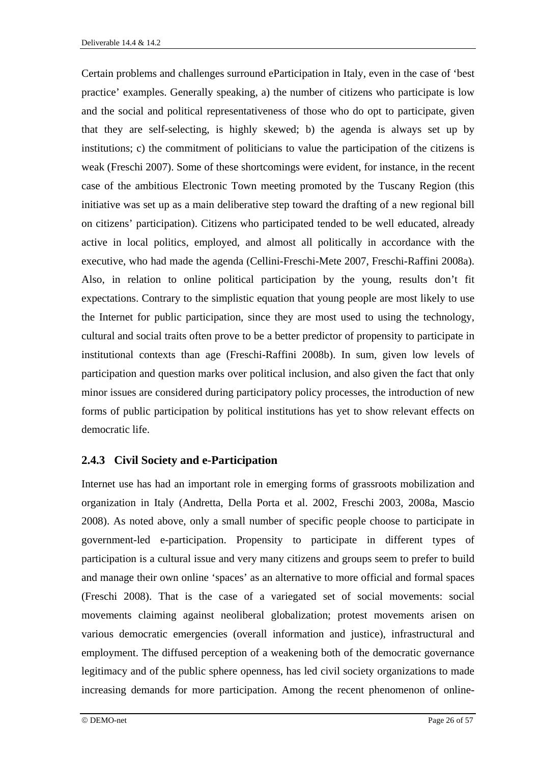Certain problems and challenges surround eParticipation in Italy, even in the case of 'best practice' examples. Generally speaking, a) the number of citizens who participate is low and the social and political representativeness of those who do opt to participate, given that they are self-selecting, is highly skewed; b) the agenda is always set up by institutions; c) the commitment of politicians to value the participation of the citizens is weak (Freschi 2007). Some of these shortcomings were evident, for instance, in the recent case of the ambitious Electronic Town meeting promoted by the Tuscany Region (this initiative was set up as a main deliberative step toward the drafting of a new regional bill on citizens' participation). Citizens who participated tended to be well educated, already active in local politics, employed, and almost all politically in accordance with the executive, who had made the agenda (Cellini-Freschi-Mete 2007, Freschi-Raffini 2008a). Also, in relation to online political participation by the young, results don't fit expectations. Contrary to the simplistic equation that young people are most likely to use the Internet for public participation, since they are most used to using the technology, cultural and social traits often prove to be a better predictor of propensity to participate in institutional contexts than age (Freschi-Raffini 2008b). In sum, given low levels of participation and question marks over political inclusion, and also given the fact that only minor issues are considered during participatory policy processes, the introduction of new forms of public participation by political institutions has yet to show relevant effects on democratic life.

#### **2.4.3 Civil Society and e-Participation**

Internet use has had an important role in emerging forms of grassroots mobilization and organization in Italy (Andretta, Della Porta et al. 2002, Freschi 2003, 2008a, Mascio 2008). As noted above, only a small number of specific people choose to participate in government-led e-participation. Propensity to participate in different types of participation is a cultural issue and very many citizens and groups seem to prefer to build and manage their own online 'spaces' as an alternative to more official and formal spaces (Freschi 2008). That is the case of a variegated set of social movements: social movements claiming against neoliberal globalization; protest movements arisen on various democratic emergencies (overall information and justice), infrastructural and employment. The diffused perception of a weakening both of the democratic governance legitimacy and of the public sphere openness, has led civil society organizations to made increasing demands for more participation. Among the recent phenomenon of online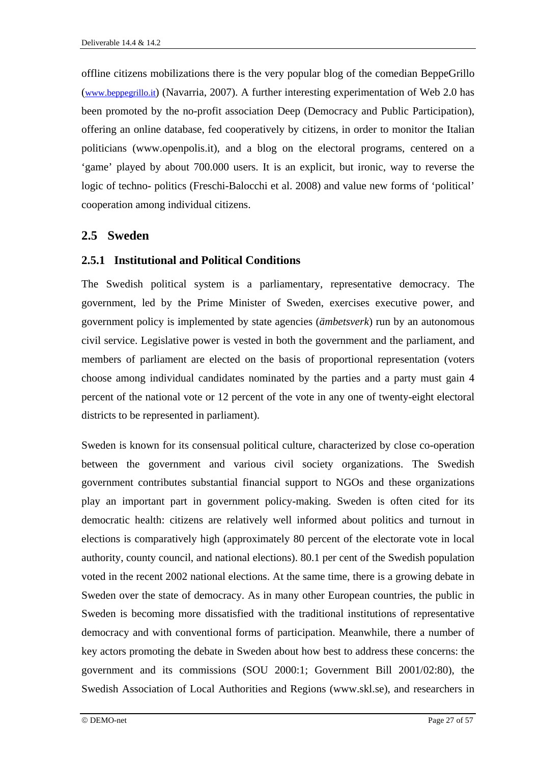offline citizens mobilizations there is the very popular blog of the comedian BeppeGrillo (www.beppegrillo.it) (Navarria, 2007). A further interesting experimentation of Web 2.0 has been promoted by the no-profit association Deep (Democracy and Public Participation), offering an online database, fed cooperatively by citizens, in order to monitor the Italian politicians (www.openpolis.it), and a blog on the electoral programs, centered on a 'game' played by about 700.000 users. It is an explicit, but ironic, way to reverse the logic of techno- politics (Freschi-Balocchi et al. 2008) and value new forms of 'political' cooperation among individual citizens.

#### **2.5 Sweden**

#### **2.5.1 Institutional and Political Conditions**

The Swedish political system is a parliamentary, representative democracy. The government, led by the Prime Minister of Sweden, exercises executive power, and government policy is implemented by state agencies (*ämbetsverk*) run by an autonomous civil service. Legislative power is vested in both the government and the parliament, and members of parliament are elected on the basis of proportional representation (voters choose among individual candidates nominated by the parties and a party must gain 4 percent of the national vote or 12 percent of the vote in any one of twenty-eight electoral districts to be represented in parliament).

Sweden is known for its consensual political culture, characterized by close co-operation between the government and various civil society organizations. The Swedish government contributes substantial financial support to NGOs and these organizations play an important part in government policy-making. Sweden is often cited for its democratic health: citizens are relatively well informed about politics and turnout in elections is comparatively high (approximately 80 percent of the electorate vote in local authority, county council, and national elections). 80.1 per cent of the Swedish population voted in the recent 2002 national elections. At the same time, there is a growing debate in Sweden over the state of democracy. As in many other European countries, the public in Sweden is becoming more dissatisfied with the traditional institutions of representative democracy and with conventional forms of participation. Meanwhile, there a number of key actors promoting the debate in Sweden about how best to address these concerns: the government and its commissions (SOU 2000:1; Government Bill 2001/02:80), the Swedish Association of Local Authorities and Regions (www.skl.se), and researchers in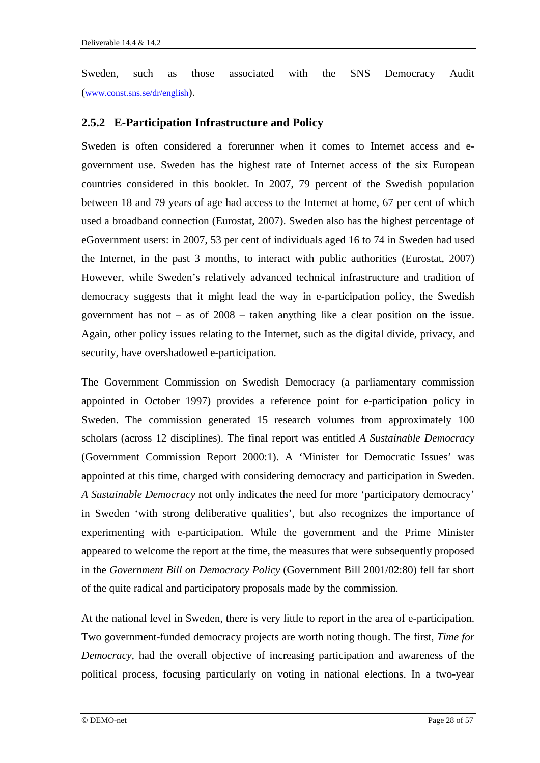Sweden, such as those associated with the SNS Democracy Audit (www.const.sns.se/dr/english).

#### **2.5.2 E-Participation Infrastructure and Policy**

Sweden is often considered a forerunner when it comes to Internet access and egovernment use. Sweden has the highest rate of Internet access of the six European countries considered in this booklet. In 2007, 79 percent of the Swedish population between 18 and 79 years of age had access to the Internet at home, 67 per cent of which used a broadband connection (Eurostat, 2007). Sweden also has the highest percentage of eGovernment users: in 2007, 53 per cent of individuals aged 16 to 74 in Sweden had used the Internet, in the past 3 months, to interact with public authorities (Eurostat, 2007) However, while Sweden's relatively advanced technical infrastructure and tradition of democracy suggests that it might lead the way in e-participation policy, the Swedish government has not – as of 2008 – taken anything like a clear position on the issue. Again, other policy issues relating to the Internet, such as the digital divide, privacy, and security, have overshadowed e-participation.

The Government Commission on Swedish Democracy (a parliamentary commission appointed in October 1997) provides a reference point for e-participation policy in Sweden. The commission generated 15 research volumes from approximately 100 scholars (across 12 disciplines). The final report was entitled *A Sustainable Democracy* (Government Commission Report 2000:1). A 'Minister for Democratic Issues' was appointed at this time, charged with considering democracy and participation in Sweden. *A Sustainable Democracy* not only indicates the need for more 'participatory democracy' in Sweden 'with strong deliberative qualities', but also recognizes the importance of experimenting with e-participation. While the government and the Prime Minister appeared to welcome the report at the time, the measures that were subsequently proposed in the *Government Bill on Democracy Policy* (Government Bill 2001/02:80) fell far short of the quite radical and participatory proposals made by the commission.

At the national level in Sweden, there is very little to report in the area of e-participation. Two government-funded democracy projects are worth noting though. The first, *Time for Democracy*, had the overall objective of increasing participation and awareness of the political process, focusing particularly on voting in national elections. In a two-year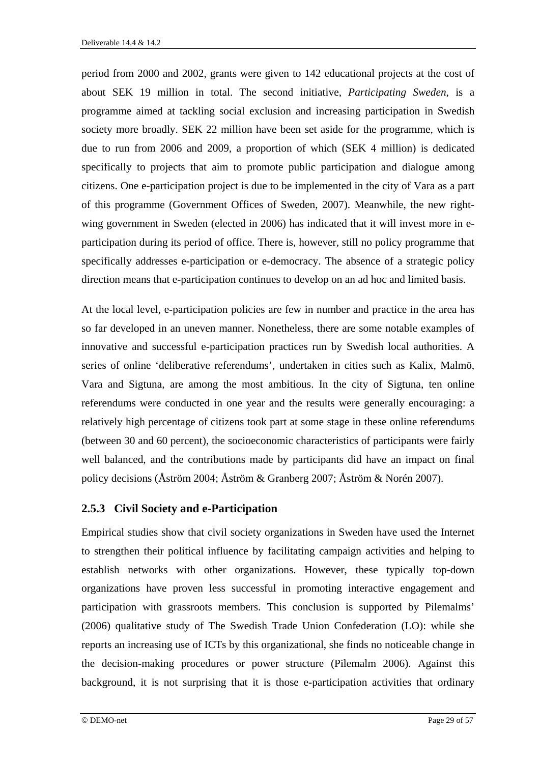period from 2000 and 2002, grants were given to 142 educational projects at the cost of about SEK 19 million in total. The second initiative, *Participating Sweden*, is a programme aimed at tackling social exclusion and increasing participation in Swedish society more broadly. SEK 22 million have been set aside for the programme, which is due to run from 2006 and 2009, a proportion of which (SEK 4 million) is dedicated specifically to projects that aim to promote public participation and dialogue among citizens. One e-participation project is due to be implemented in the city of Vara as a part of this programme (Government Offices of Sweden, 2007). Meanwhile, the new rightwing government in Sweden (elected in 2006) has indicated that it will invest more in eparticipation during its period of office. There is, however, still no policy programme that specifically addresses e-participation or e-democracy. The absence of a strategic policy direction means that e-participation continues to develop on an ad hoc and limited basis.

At the local level, e-participation policies are few in number and practice in the area has so far developed in an uneven manner. Nonetheless, there are some notable examples of innovative and successful e-participation practices run by Swedish local authorities. A series of online 'deliberative referendums', undertaken in cities such as Kalix, Malmö, Vara and Sigtuna, are among the most ambitious. In the city of Sigtuna, ten online referendums were conducted in one year and the results were generally encouraging: a relatively high percentage of citizens took part at some stage in these online referendums (between 30 and 60 percent), the socioeconomic characteristics of participants were fairly well balanced, and the contributions made by participants did have an impact on final policy decisions (Åström 2004; Åström & Granberg 2007; Åström & Norén 2007).

#### **2.5.3 Civil Society and e-Participation**

Empirical studies show that civil society organizations in Sweden have used the Internet to strengthen their political influence by facilitating campaign activities and helping to establish networks with other organizations. However, these typically top-down organizations have proven less successful in promoting interactive engagement and participation with grassroots members. This conclusion is supported by Pilemalms' (2006) qualitative study of The Swedish Trade Union Confederation (LO): while she reports an increasing use of ICTs by this organizational, she finds no noticeable change in the decision-making procedures or power structure (Pilemalm 2006). Against this background, it is not surprising that it is those e-participation activities that ordinary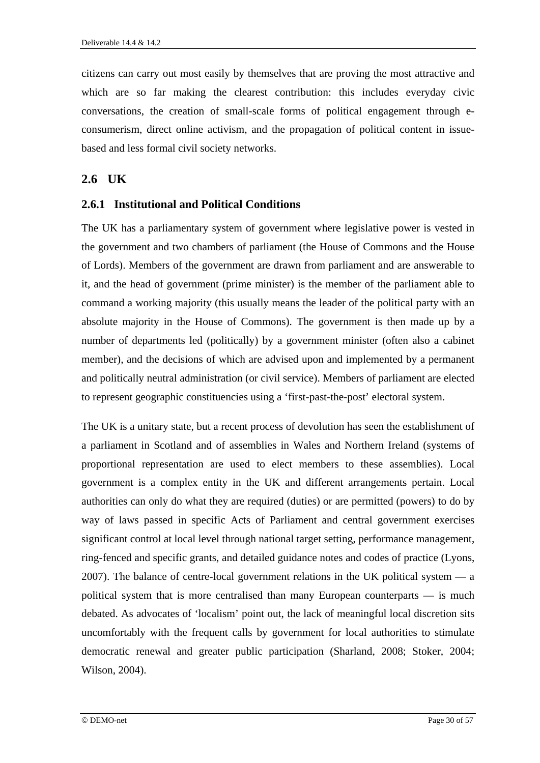citizens can carry out most easily by themselves that are proving the most attractive and which are so far making the clearest contribution: this includes everyday civic conversations, the creation of small-scale forms of political engagement through econsumerism, direct online activism, and the propagation of political content in issuebased and less formal civil society networks.

#### **2.6 UK**

#### **2.6.1 Institutional and Political Conditions**

The UK has a parliamentary system of government where legislative power is vested in the government and two chambers of parliament (the House of Commons and the House of Lords). Members of the government are drawn from parliament and are answerable to it, and the head of government (prime minister) is the member of the parliament able to command a working majority (this usually means the leader of the political party with an absolute majority in the House of Commons). The government is then made up by a number of departments led (politically) by a government minister (often also a cabinet member), and the decisions of which are advised upon and implemented by a permanent and politically neutral administration (or civil service). Members of parliament are elected to represent geographic constituencies using a 'first-past-the-post' electoral system.

The UK is a unitary state, but a recent process of devolution has seen the establishment of a parliament in Scotland and of assemblies in Wales and Northern Ireland (systems of proportional representation are used to elect members to these assemblies). Local government is a complex entity in the UK and different arrangements pertain. Local authorities can only do what they are required (duties) or are permitted (powers) to do by way of laws passed in specific Acts of Parliament and central government exercises significant control at local level through national target setting, performance management, ring-fenced and specific grants, and detailed guidance notes and codes of practice (Lyons, 2007). The balance of centre-local government relations in the UK political system — a political system that is more centralised than many European counterparts — is much debated. As advocates of 'localism' point out, the lack of meaningful local discretion sits uncomfortably with the frequent calls by government for local authorities to stimulate democratic renewal and greater public participation (Sharland, 2008; Stoker, 2004; Wilson, 2004).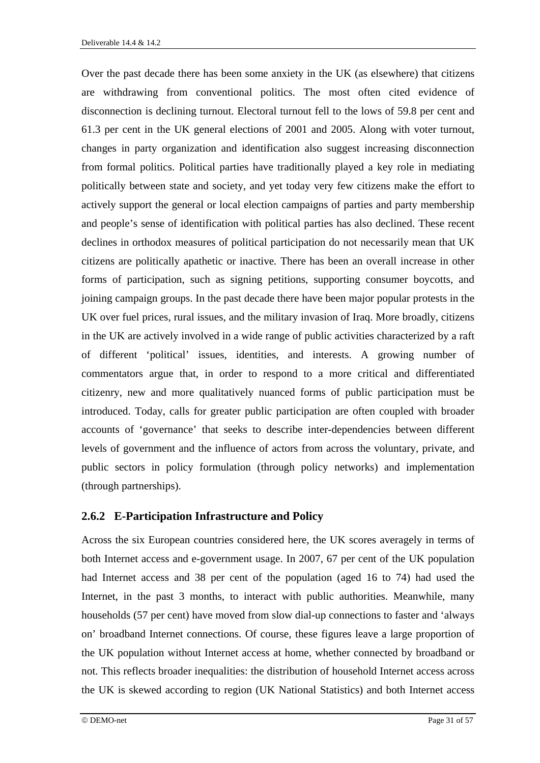Over the past decade there has been some anxiety in the UK (as elsewhere) that citizens are withdrawing from conventional politics. The most often cited evidence of disconnection is declining turnout. Electoral turnout fell to the lows of 59.8 per cent and 61.3 per cent in the UK general elections of 2001 and 2005. Along with voter turnout, changes in party organization and identification also suggest increasing disconnection from formal politics. Political parties have traditionally played a key role in mediating politically between state and society, and yet today very few citizens make the effort to actively support the general or local election campaigns of parties and party membership and people's sense of identification with political parties has also declined. These recent declines in orthodox measures of political participation do not necessarily mean that UK citizens are politically apathetic or inactive*.* There has been an overall increase in other forms of participation, such as signing petitions, supporting consumer boycotts, and joining campaign groups. In the past decade there have been major popular protests in the UK over fuel prices, rural issues, and the military invasion of Iraq. More broadly, citizens in the UK are actively involved in a wide range of public activities characterized by a raft of different 'political' issues, identities, and interests. A growing number of commentators argue that, in order to respond to a more critical and differentiated citizenry, new and more qualitatively nuanced forms of public participation must be introduced. Today, calls for greater public participation are often coupled with broader accounts of 'governance' that seeks to describe inter-dependencies between different levels of government and the influence of actors from across the voluntary, private, and public sectors in policy formulation (through policy networks) and implementation (through partnerships).

#### **2.6.2 E-Participation Infrastructure and Policy**

Across the six European countries considered here, the UK scores averagely in terms of both Internet access and e-government usage. In 2007, 67 per cent of the UK population had Internet access and 38 per cent of the population (aged 16 to 74) had used the Internet, in the past 3 months, to interact with public authorities. Meanwhile, many households (57 per cent) have moved from slow dial-up connections to faster and 'always on' broadband Internet connections. Of course, these figures leave a large proportion of the UK population without Internet access at home, whether connected by broadband or not. This reflects broader inequalities: the distribution of household Internet access across the UK is skewed according to region (UK National Statistics) and both Internet access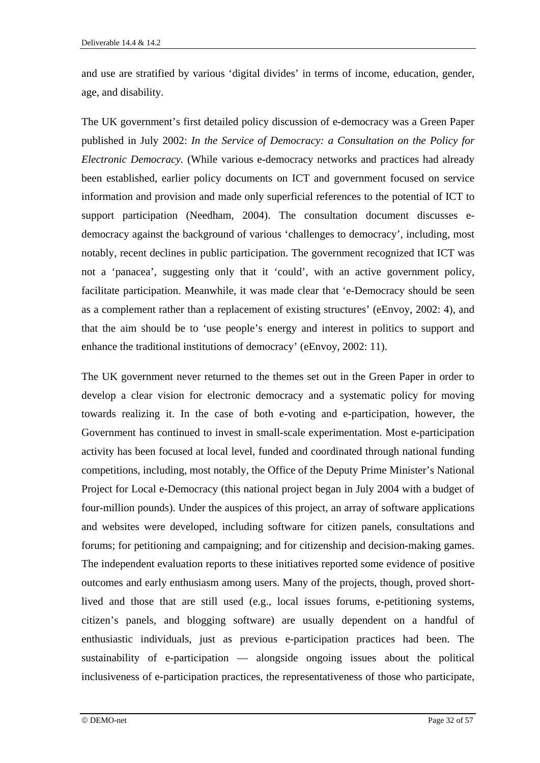and use are stratified by various 'digital divides' in terms of income, education, gender, age, and disability.

The UK government's first detailed policy discussion of e-democracy was a Green Paper published in July 2002: *In the Service of Democracy: a Consultation on the Policy for Electronic Democracy.* (While various e-democracy networks and practices had already been established, earlier policy documents on ICT and government focused on service information and provision and made only superficial references to the potential of ICT to support participation (Needham, 2004). The consultation document discusses edemocracy against the background of various 'challenges to democracy', including, most notably, recent declines in public participation. The government recognized that ICT was not a 'panacea', suggesting only that it 'could', with an active government policy, facilitate participation. Meanwhile, it was made clear that 'e-Democracy should be seen as a complement rather than a replacement of existing structures' (eEnvoy, 2002: 4), and that the aim should be to 'use people's energy and interest in politics to support and enhance the traditional institutions of democracy' (eEnvoy, 2002: 11).

The UK government never returned to the themes set out in the Green Paper in order to develop a clear vision for electronic democracy and a systematic policy for moving towards realizing it. In the case of both e-voting and e-participation, however, the Government has continued to invest in small-scale experimentation. Most e-participation activity has been focused at local level, funded and coordinated through national funding competitions, including, most notably, the Office of the Deputy Prime Minister's National Project for Local e-Democracy (this national project began in July 2004 with a budget of four-million pounds). Under the auspices of this project, an array of software applications and websites were developed, including software for citizen panels, consultations and forums; for petitioning and campaigning; and for citizenship and decision-making games. The independent evaluation reports to these initiatives reported some evidence of positive outcomes and early enthusiasm among users. Many of the projects, though, proved shortlived and those that are still used (e.g., local issues forums, e-petitioning systems, citizen's panels, and blogging software) are usually dependent on a handful of enthusiastic individuals, just as previous e-participation practices had been. The sustainability of e-participation — alongside ongoing issues about the political inclusiveness of e-participation practices, the representativeness of those who participate,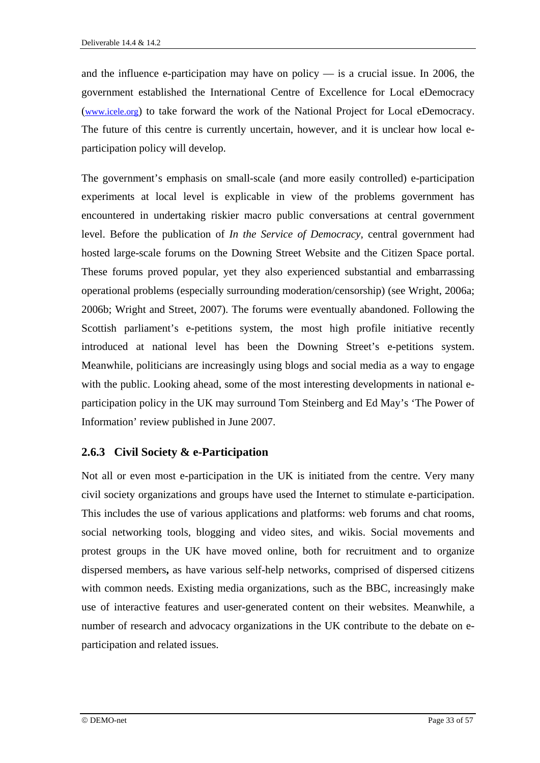and the influence e-participation may have on policy  $-$  is a crucial issue. In 2006, the government established the International Centre of Excellence for Local eDemocracy (www.icele.org) to take forward the work of the National Project for Local eDemocracy. The future of this centre is currently uncertain, however, and it is unclear how local eparticipation policy will develop.

The government's emphasis on small-scale (and more easily controlled) e-participation experiments at local level is explicable in view of the problems government has encountered in undertaking riskier macro public conversations at central government level. Before the publication of *In the Service of Democracy,* central government had hosted large-scale forums on the Downing Street Website and the Citizen Space portal. These forums proved popular, yet they also experienced substantial and embarrassing operational problems (especially surrounding moderation/censorship) (see Wright, 2006a; 2006b; Wright and Street, 2007). The forums were eventually abandoned. Following the Scottish parliament's e-petitions system, the most high profile initiative recently introduced at national level has been the Downing Street's e-petitions system. Meanwhile, politicians are increasingly using blogs and social media as a way to engage with the public. Looking ahead, some of the most interesting developments in national eparticipation policy in the UK may surround Tom Steinberg and Ed May's 'The Power of Information' review published in June 2007.

#### **2.6.3 Civil Society & e-Participation**

Not all or even most e-participation in the UK is initiated from the centre. Very many civil society organizations and groups have used the Internet to stimulate e-participation. This includes the use of various applications and platforms: web forums and chat rooms, social networking tools, blogging and video sites, and wikis. Social movements and protest groups in the UK have moved online, both for recruitment and to organize dispersed members**,** as have various self-help networks, comprised of dispersed citizens with common needs. Existing media organizations, such as the BBC, increasingly make use of interactive features and user-generated content on their websites. Meanwhile, a number of research and advocacy organizations in the UK contribute to the debate on eparticipation and related issues.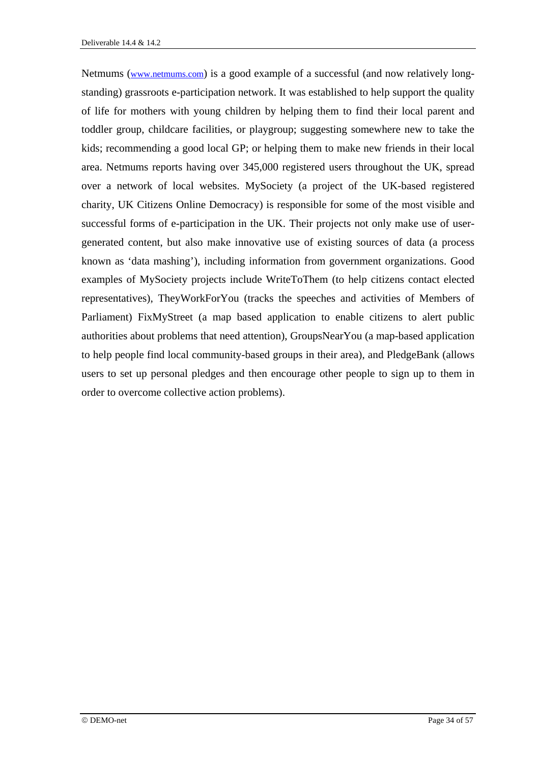Netmums (www.netmums.com) is a good example of a successful (and now relatively longstanding) grassroots e-participation network. It was established to help support the quality of life for mothers with young children by helping them to find their local parent and toddler group, childcare facilities, or playgroup; suggesting somewhere new to take the kids; recommending a good local GP; or helping them to make new friends in their local area. Netmums reports having over 345,000 registered users throughout the UK, spread over a network of local websites. MySociety (a project of the UK-based registered charity, UK Citizens Online Democracy) is responsible for some of the most visible and successful forms of e-participation in the UK. Their projects not only make use of usergenerated content, but also make innovative use of existing sources of data (a process known as 'data mashing'), including information from government organizations. Good examples of MySociety projects include WriteToThem (to help citizens contact elected representatives), TheyWorkForYou (tracks the speeches and activities of Members of Parliament) FixMyStreet (a map based application to enable citizens to alert public authorities about problems that need attention), GroupsNearYou (a map-based application to help people find local community-based groups in their area), and PledgeBank (allows users to set up personal pledges and then encourage other people to sign up to them in order to overcome collective action problems).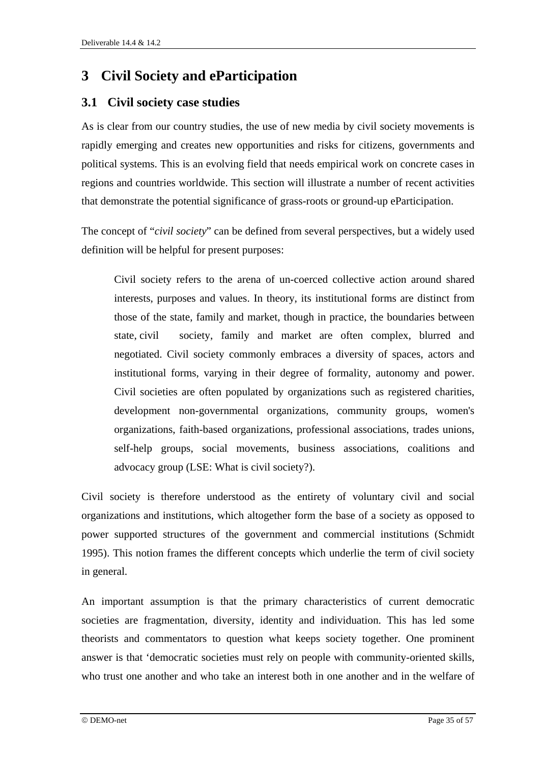# **3 Civil Society and eParticipation**

## **3.1 Civil society case studies**

As is clear from our country studies, the use of new media by civil society movements is rapidly emerging and creates new opportunities and risks for citizens, governments and political systems. This is an evolving field that needs empirical work on concrete cases in regions and countries worldwide. This section will illustrate a number of recent activities that demonstrate the potential significance of grass-roots or ground-up eParticipation.

The concept of "*civil society*" can be defined from several perspectives, but a widely used definition will be helpful for present purposes:

Civil society refers to the arena of un-coerced collective action around shared interests, purposes and values. In theory, its institutional forms are distinct from those of the state, family and market, though in practice, the boundaries between state, civil society, family and market are often complex, blurred and negotiated. Civil society commonly embraces a diversity of spaces, actors and institutional forms, varying in their degree of formality, autonomy and power. Civil societies are often populated by organizations such as registered charities, development non-governmental organizations, community groups, women's organizations, faith-based organizations, professional associations, trades unions, self-help groups, social movements, business associations, coalitions and advocacy group (LSE: What is civil society?).

Civil society is therefore understood as the entirety of voluntary civil and social organizations and institutions, which altogether form the base of a society as opposed to power supported structures of the government and commercial institutions (Schmidt 1995). This notion frames the different concepts which underlie the term of civil society in general.

An important assumption is that the primary characteristics of current democratic societies are fragmentation, diversity, identity and individuation. This has led some theorists and commentators to question what keeps society together. One prominent answer is that 'democratic societies must rely on people with community-oriented skills, who trust one another and who take an interest both in one another and in the welfare of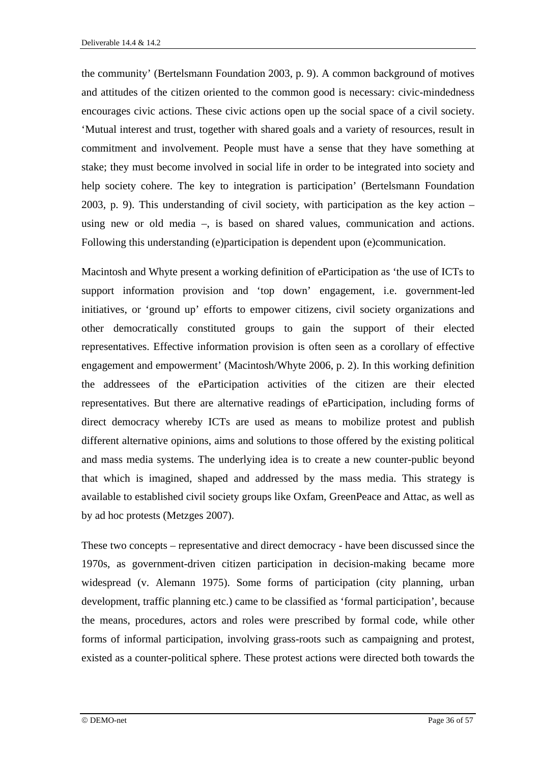the community' (Bertelsmann Foundation 2003, p. 9). A common background of motives and attitudes of the citizen oriented to the common good is necessary: civic-mindedness encourages civic actions. These civic actions open up the social space of a civil society. 'Mutual interest and trust, together with shared goals and a variety of resources, result in commitment and involvement. People must have a sense that they have something at stake; they must become involved in social life in order to be integrated into society and help society cohere. The key to integration is participation' (Bertelsmann Foundation 2003, p. 9). This understanding of civil society, with participation as the key action – using new or old media –, is based on shared values, communication and actions. Following this understanding (e)participation is dependent upon (e)communication.

Macintosh and Whyte present a working definition of eParticipation as 'the use of ICTs to support information provision and 'top down' engagement, i.e. government-led initiatives, or 'ground up' efforts to empower citizens, civil society organizations and other democratically constituted groups to gain the support of their elected representatives. Effective information provision is often seen as a corollary of effective engagement and empowerment' (Macintosh/Whyte 2006, p. 2). In this working definition the addressees of the eParticipation activities of the citizen are their elected representatives. But there are alternative readings of eParticipation, including forms of direct democracy whereby ICTs are used as means to mobilize protest and publish different alternative opinions, aims and solutions to those offered by the existing political and mass media systems. The underlying idea is to create a new counter-public beyond that which is imagined, shaped and addressed by the mass media. This strategy is available to established civil society groups like Oxfam, GreenPeace and Attac, as well as by ad hoc protests (Metzges 2007).

These two concepts – representative and direct democracy - have been discussed since the 1970s, as government-driven citizen participation in decision-making became more widespread (v. Alemann 1975). Some forms of participation (city planning, urban development, traffic planning etc.) came to be classified as 'formal participation', because the means, procedures, actors and roles were prescribed by formal code, while other forms of informal participation, involving grass-roots such as campaigning and protest, existed as a counter-political sphere. These protest actions were directed both towards the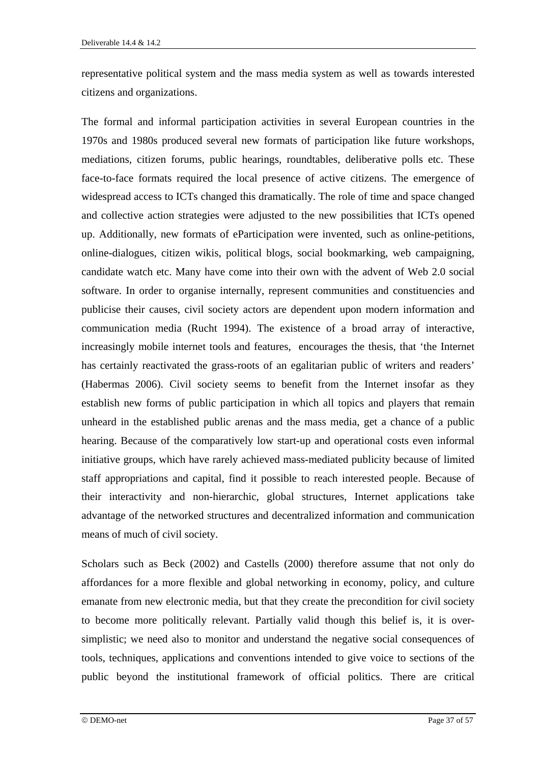representative political system and the mass media system as well as towards interested citizens and organizations.

The formal and informal participation activities in several European countries in the 1970s and 1980s produced several new formats of participation like future workshops, mediations, citizen forums, public hearings, roundtables, deliberative polls etc. These face-to-face formats required the local presence of active citizens. The emergence of widespread access to ICTs changed this dramatically. The role of time and space changed and collective action strategies were adjusted to the new possibilities that ICTs opened up. Additionally, new formats of eParticipation were invented, such as online-petitions, online-dialogues, citizen wikis, political blogs, social bookmarking, web campaigning, candidate watch etc. Many have come into their own with the advent of Web 2.0 social software. In order to organise internally, represent communities and constituencies and publicise their causes, civil society actors are dependent upon modern information and communication media (Rucht 1994). The existence of a broad array of interactive, increasingly mobile internet tools and features, encourages the thesis, that 'the Internet has certainly reactivated the grass-roots of an egalitarian public of writers and readers' (Habermas 2006). Civil society seems to benefit from the Internet insofar as they establish new forms of public participation in which all topics and players that remain unheard in the established public arenas and the mass media, get a chance of a public hearing. Because of the comparatively low start-up and operational costs even informal initiative groups, which have rarely achieved mass-mediated publicity because of limited staff appropriations and capital, find it possible to reach interested people. Because of their interactivity and non-hierarchic, global structures, Internet applications take advantage of the networked structures and decentralized information and communication means of much of civil society.

Scholars such as Beck (2002) and Castells (2000) therefore assume that not only do affordances for a more flexible and global networking in economy, policy, and culture emanate from new electronic media, but that they create the precondition for civil society to become more politically relevant. Partially valid though this belief is, it is oversimplistic; we need also to monitor and understand the negative social consequences of tools, techniques, applications and conventions intended to give voice to sections of the public beyond the institutional framework of official politics. There are critical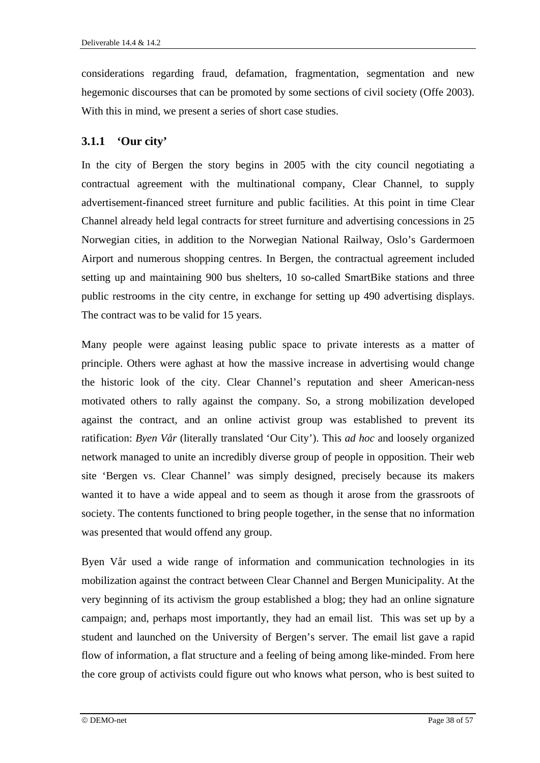considerations regarding fraud, defamation, fragmentation, segmentation and new hegemonic discourses that can be promoted by some sections of civil society (Offe 2003). With this in mind, we present a series of short case studies.

#### **3.1.1 'Our city'**

In the city of Bergen the story begins in 2005 with the city council negotiating a contractual agreement with the multinational company, Clear Channel, to supply advertisement-financed street furniture and public facilities. At this point in time Clear Channel already held legal contracts for street furniture and advertising concessions in 25 Norwegian cities, in addition to the Norwegian National Railway, Oslo's Gardermoen Airport and numerous shopping centres. In Bergen, the contractual agreement included setting up and maintaining 900 bus shelters, 10 so-called SmartBike stations and three public restrooms in the city centre, in exchange for setting up 490 advertising displays. The contract was to be valid for 15 years.

Many people were against leasing public space to private interests as a matter of principle. Others were aghast at how the massive increase in advertising would change the historic look of the city. Clear Channel's reputation and sheer American-ness motivated others to rally against the company. So, a strong mobilization developed against the contract, and an online activist group was established to prevent its ratification: *Byen Vår* (literally translated 'Our City'). This *ad hoc* and loosely organized network managed to unite an incredibly diverse group of people in opposition. Their web site 'Bergen vs. Clear Channel' was simply designed, precisely because its makers wanted it to have a wide appeal and to seem as though it arose from the grassroots of society. The contents functioned to bring people together, in the sense that no information was presented that would offend any group.

Byen Vår used a wide range of information and communication technologies in its mobilization against the contract between Clear Channel and Bergen Municipality. At the very beginning of its activism the group established a blog; they had an online signature campaign; and, perhaps most importantly, they had an email list. This was set up by a student and launched on the University of Bergen's server. The email list gave a rapid flow of information, a flat structure and a feeling of being among like-minded. From here the core group of activists could figure out who knows what person, who is best suited to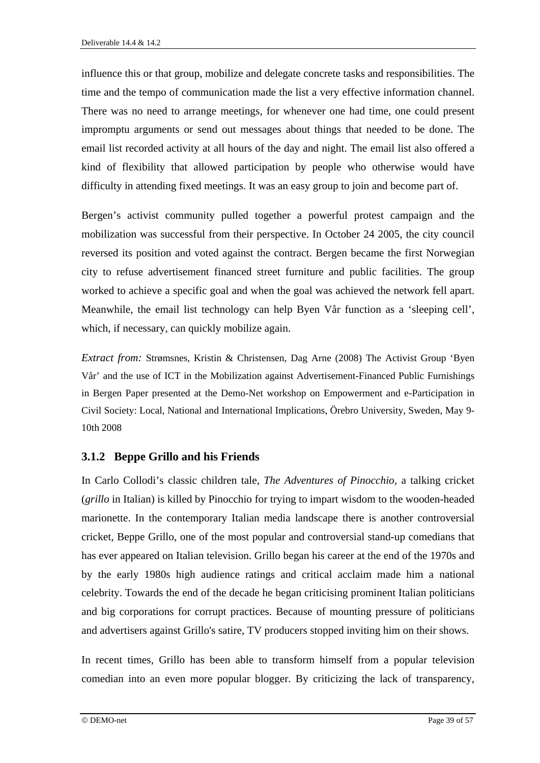influence this or that group, mobilize and delegate concrete tasks and responsibilities. The time and the tempo of communication made the list a very effective information channel. There was no need to arrange meetings, for whenever one had time, one could present impromptu arguments or send out messages about things that needed to be done. The email list recorded activity at all hours of the day and night. The email list also offered a kind of flexibility that allowed participation by people who otherwise would have difficulty in attending fixed meetings. It was an easy group to join and become part of.

Bergen's activist community pulled together a powerful protest campaign and the mobilization was successful from their perspective. In October 24 2005, the city council reversed its position and voted against the contract. Bergen became the first Norwegian city to refuse advertisement financed street furniture and public facilities. The group worked to achieve a specific goal and when the goal was achieved the network fell apart. Meanwhile, the email list technology can help Byen Vår function as a 'sleeping cell', which, if necessary, can quickly mobilize again.

*Extract from:* Strømsnes, Kristin & Christensen, Dag Arne (2008) The Activist Group 'Byen Vår' and the use of ICT in the Mobilization against Advertisement-Financed Public Furnishings in Bergen Paper presented at the Demo-Net workshop on Empowerment and e-Participation in Civil Society: Local, National and International Implications, Örebro University, Sweden, May 9- 10th 2008

#### **3.1.2 Beppe Grillo and his Friends**

In Carlo Collodi's classic children tale, *The Adventures of Pinocchio,* a talking cricket (*grillo* in Italian) is killed by Pinocchio for trying to impart wisdom to the wooden-headed marionette. In the contemporary Italian media landscape there is another controversial cricket, Beppe Grillo, one of the most popular and controversial stand-up comedians that has ever appeared on Italian television. Grillo began his career at the end of the 1970s and by the early 1980s high audience ratings and critical acclaim made him a national celebrity. Towards the end of the decade he began criticising prominent Italian politicians and big corporations for corrupt practices. Because of mounting pressure of politicians and advertisers against Grillo's satire, TV producers stopped inviting him on their shows.

In recent times, Grillo has been able to transform himself from a popular television comedian into an even more popular blogger. By criticizing the lack of transparency,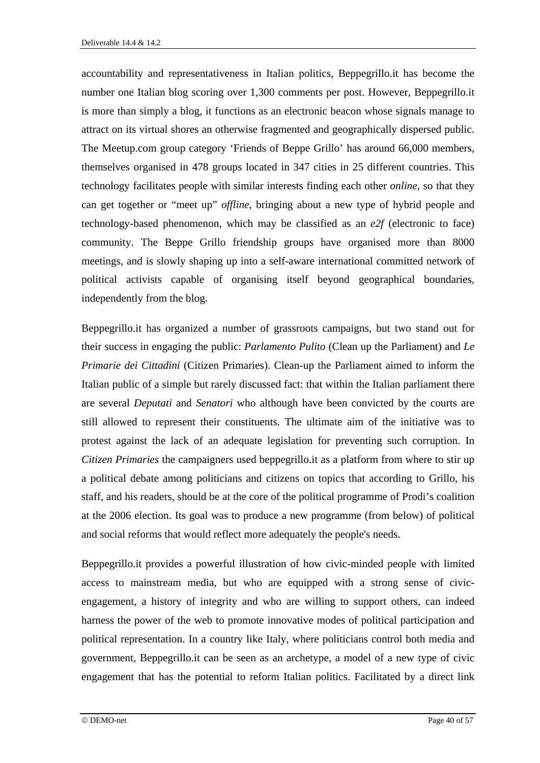accountability and representativeness in Italian politics, Beppegrillo.it has become the number one Italian blog scoring over 1,300 comments per post. However, Beppegrillo.it is more than simply a blog, it functions as an electronic beacon whose signals manage to attract on its virtual shores an otherwise fragmented and geographically dispersed public. The Meetup.com group category 'Friends of Beppe Grillo' has around 66,000 members, themselves organised in 478 groups located in 347 cities in 25 different countries. This technology facilitates people with similar interests finding each other *online*, so that they can get together or "meet up" *offline*, bringing about a new type of hybrid people and technology-based phenomenon, which may be classified as an *e2f* (electronic to face) community. The Beppe Grillo friendship groups have organised more than 8000 meetings, and is slowly shaping up into a self-aware international committed network of political activists capable of organising itself beyond geographical boundaries, independently from the blog.

Beppegrillo.it has organized a number of grassroots campaigns, but two stand out for their success in engaging the public: *Parlamento Pulito* (Clean up the Parliament) and *Le Primarie dei Cittadini* (Citizen Primaries). Clean-up the Parliament aimed to inform the Italian public of a simple but rarely discussed fact: that within the Italian parliament there are several *Deputati* and *Senatori* who although have been convicted by the courts are still allowed to represent their constituents. The ultimate aim of the initiative was to protest against the lack of an adequate legislation for preventing such corruption. In *Citizen Primaries* the campaigners used beppegrillo.it as a platform from where to stir up a political debate among politicians and citizens on topics that according to Grillo, his staff, and his readers, should be at the core of the political programme of Prodi's coalition at the 2006 election. Its goal was to produce a new programme (from below) of political and social reforms that would reflect more adequately the people's needs.

Beppegrillo.it provides a powerful illustration of how civic-minded people with limited access to mainstream media, but who are equipped with a strong sense of civicengagement, a history of integrity and who are willing to support others, can indeed harness the power of the web to promote innovative modes of political participation and political representation. In a country like Italy, where politicians control both media and government, Beppegrillo.it can be seen as an archetype, a model of a new type of civic engagement that has the potential to reform Italian politics. Facilitated by a direct link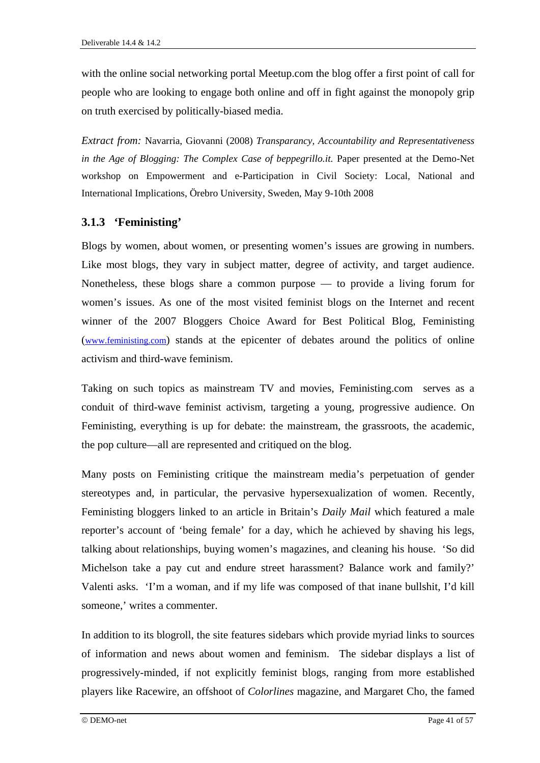with the online social networking portal Meetup.com the blog offer a first point of call for people who are looking to engage both online and off in fight against the monopoly grip on truth exercised by politically-biased media.

*Extract from:* Navarria, Giovanni (2008) *Transparancy, Accountability and Representativeness in the Age of Blogging: The Complex Case of beppegrillo.it.* Paper presented at the Demo-Net workshop on Empowerment and e-Participation in Civil Society: Local, National and International Implications, Örebro University, Sweden, May 9-10th 2008

#### **3.1.3 'Feministing'**

Blogs by women, about women, or presenting women's issues are growing in numbers. Like most blogs, they vary in subject matter, degree of activity, and target audience. Nonetheless, these blogs share a common purpose — to provide a living forum for women's issues. As one of the most visited feminist blogs on the Internet and recent winner of the 2007 Bloggers Choice Award for Best Political Blog, Feministing (www.feministing.com) stands at the epicenter of debates around the politics of online activism and third-wave feminism.

Taking on such topics as mainstream TV and movies, Feministing.com serves as a conduit of third-wave feminist activism, targeting a young, progressive audience. On Feministing, everything is up for debate: the mainstream, the grassroots, the academic, the pop culture—all are represented and critiqued on the blog.

Many posts on Feministing critique the mainstream media's perpetuation of gender stereotypes and, in particular, the pervasive hypersexualization of women. Recently, Feministing bloggers linked to an article in Britain's *Daily Mail* which featured a male reporter's account of 'being female' for a day, which he achieved by shaving his legs, talking about relationships, buying women's magazines, and cleaning his house. 'So did Michelson take a pay cut and endure street harassment? Balance work and family?' Valenti asks. 'I'm a woman, and if my life was composed of that inane bullshit, I'd kill someone,' writes a commenter.

In addition to its blogroll, the site features sidebars which provide myriad links to sources of information and news about women and feminism. The sidebar displays a list of progressively-minded, if not explicitly feminist blogs, ranging from more established players like Racewire, an offshoot of *Colorlines* magazine, and Margaret Cho, the famed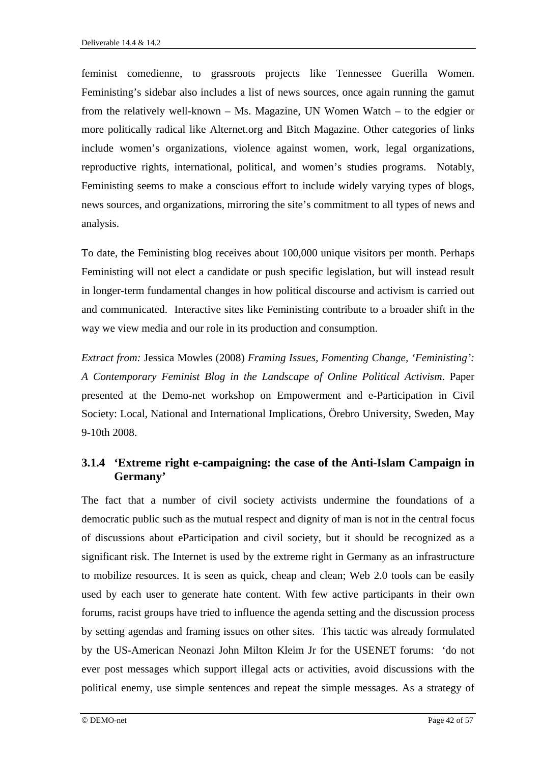feminist comedienne, to grassroots projects like Tennessee Guerilla Women. Feministing's sidebar also includes a list of news sources, once again running the gamut from the relatively well-known – Ms. Magazine, UN Women Watch – to the edgier or more politically radical like Alternet.org and Bitch Magazine. Other categories of links include women's organizations, violence against women, work, legal organizations, reproductive rights, international, political, and women's studies programs. Notably, Feministing seems to make a conscious effort to include widely varying types of blogs, news sources, and organizations, mirroring the site's commitment to all types of news and analysis.

To date, the Feministing blog receives about 100,000 unique visitors per month. Perhaps Feministing will not elect a candidate or push specific legislation, but will instead result in longer-term fundamental changes in how political discourse and activism is carried out and communicated. Interactive sites like Feministing contribute to a broader shift in the way we view media and our role in its production and consumption.

*Extract from:* Jessica Mowles (2008) *Framing Issues, Fomenting Change, 'Feministing': A Contemporary Feminist Blog in the Landscape of Online Political Activism*. Paper presented at the Demo-net workshop on Empowerment and e-Participation in Civil Society: Local, National and International Implications, Örebro University, Sweden, May 9-10th 2008.

#### **3.1.4 'Extreme right e-campaigning: the case of the Anti-Islam Campaign in Germany'**

The fact that a number of civil society activists undermine the foundations of a democratic public such as the mutual respect and dignity of man is not in the central focus of discussions about eParticipation and civil society, but it should be recognized as a significant risk. The Internet is used by the extreme right in Germany as an infrastructure to mobilize resources. It is seen as quick, cheap and clean; Web 2.0 tools can be easily used by each user to generate hate content. With few active participants in their own forums, racist groups have tried to influence the agenda setting and the discussion process by setting agendas and framing issues on other sites. This tactic was already formulated by the US-American Neonazi John Milton Kleim Jr for the USENET forums: 'do not ever post messages which support illegal acts or activities, avoid discussions with the political enemy, use simple sentences and repeat the simple messages. As a strategy of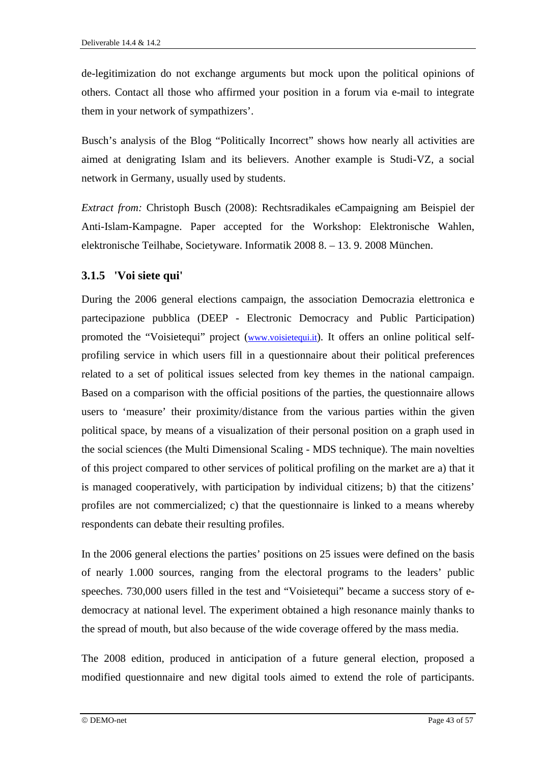de-legitimization do not exchange arguments but mock upon the political opinions of others. Contact all those who affirmed your position in a forum via e-mail to integrate them in your network of sympathizers'.

Busch's analysis of the Blog "Politically Incorrect" shows how nearly all activities are aimed at denigrating Islam and its believers. Another example is Studi-VZ, a social network in Germany, usually used by students.

*Extract from:* Christoph Busch (2008): Rechtsradikales eCampaigning am Beispiel der Anti-Islam-Kampagne. Paper accepted for the Workshop: Elektronische Wahlen, elektronische Teilhabe, Societyware. Informatik 2008 8. – 13. 9. 2008 München.

#### **3.1.5 'Voi siete qui'**

During the 2006 general elections campaign, the association Democrazia elettronica e partecipazione pubblica (DEEP - Electronic Democracy and Public Participation) promoted the "Voisietequi" project (www.voisietequi.it). It offers an online political selfprofiling service in which users fill in a questionnaire about their political preferences related to a set of political issues selected from key themes in the national campaign. Based on a comparison with the official positions of the parties, the questionnaire allows users to 'measure' their proximity/distance from the various parties within the given political space, by means of a visualization of their personal position on a graph used in the social sciences (the Multi Dimensional Scaling - MDS technique). The main novelties of this project compared to other services of political profiling on the market are a) that it is managed cooperatively, with participation by individual citizens; b) that the citizens' profiles are not commercialized; c) that the questionnaire is linked to a means whereby respondents can debate their resulting profiles.

In the 2006 general elections the parties' positions on 25 issues were defined on the basis of nearly 1.000 sources, ranging from the electoral programs to the leaders' public speeches. 730,000 users filled in the test and "Voisietequi" became a success story of edemocracy at national level. The experiment obtained a high resonance mainly thanks to the spread of mouth, but also because of the wide coverage offered by the mass media.

The 2008 edition, produced in anticipation of a future general election, proposed a modified questionnaire and new digital tools aimed to extend the role of participants.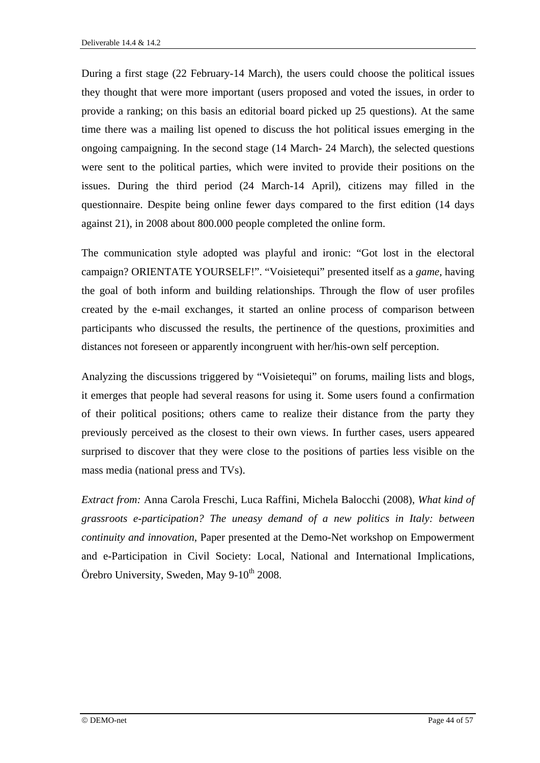During a first stage (22 February-14 March), the users could choose the political issues they thought that were more important (users proposed and voted the issues, in order to provide a ranking; on this basis an editorial board picked up 25 questions). At the same time there was a mailing list opened to discuss the hot political issues emerging in the ongoing campaigning. In the second stage (14 March- 24 March), the selected questions were sent to the political parties, which were invited to provide their positions on the issues. During the third period (24 March-14 April), citizens may filled in the questionnaire. Despite being online fewer days compared to the first edition (14 days against 21), in 2008 about 800.000 people completed the online form.

The communication style adopted was playful and ironic: "Got lost in the electoral campaign? ORIENTATE YOURSELF!". "Voisietequi" presented itself as a *game,* having the goal of both inform and building relationships. Through the flow of user profiles created by the e-mail exchanges, it started an online process of comparison between participants who discussed the results, the pertinence of the questions, proximities and distances not foreseen or apparently incongruent with her/his-own self perception.

Analyzing the discussions triggered by "Voisietequi" on forums, mailing lists and blogs, it emerges that people had several reasons for using it. Some users found a confirmation of their political positions; others came to realize their distance from the party they previously perceived as the closest to their own views. In further cases, users appeared surprised to discover that they were close to the positions of parties less visible on the mass media (national press and TVs).

*Extract from:* Anna Carola Freschi, Luca Raffini, Michela Balocchi (2008), *What kind of grassroots e-participation? The uneasy demand of a new politics in Italy: between continuity and innovation*, Paper presented at the Demo-Net workshop on Empowerment and e-Participation in Civil Society: Local, National and International Implications, Örebro University, Sweden, May  $9-10^{th}$  2008.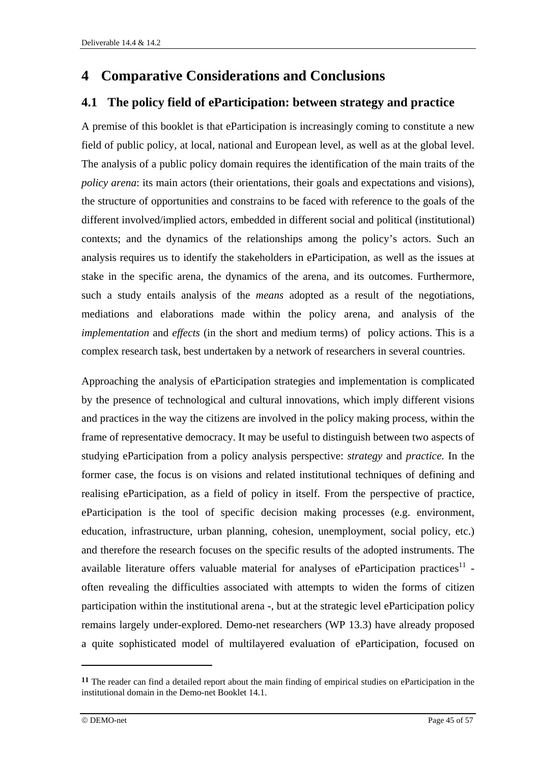# **4 Comparative Considerations and Conclusions**

## **4.1 The policy field of eParticipation: between strategy and practice**

A premise of this booklet is that eParticipation is increasingly coming to constitute a new field of public policy, at local, national and European level, as well as at the global level. The analysis of a public policy domain requires the identification of the main traits of the *policy arena*: its main actors (their orientations, their goals and expectations and visions), the structure of opportunities and constrains to be faced with reference to the goals of the different involved/implied actors, embedded in different social and political (institutional) contexts; and the dynamics of the relationships among the policy's actors. Such an analysis requires us to identify the stakeholders in eParticipation, as well as the issues at stake in the specific arena, the dynamics of the arena, and its outcomes. Furthermore, such a study entails analysis of the *means* adopted as a result of the negotiations, mediations and elaborations made within the policy arena, and analysis of the *implementation* and *effects* (in the short and medium terms) of policy actions. This is a complex research task, best undertaken by a network of researchers in several countries.

Approaching the analysis of eParticipation strategies and implementation is complicated by the presence of technological and cultural innovations, which imply different visions and practices in the way the citizens are involved in the policy making process, within the frame of representative democracy. It may be useful to distinguish between two aspects of studying eParticipation from a policy analysis perspective: *strategy* and *practice.* In the former case, the focus is on visions and related institutional techniques of defining and realising eParticipation, as a field of policy in itself. From the perspective of practice, eParticipation is the tool of specific decision making processes (e.g. environment, education, infrastructure, urban planning, cohesion, unemployment, social policy, etc.) and therefore the research focuses on the specific results of the adopted instruments. The available literature offers valuable material for analyses of eParticipation practices<sup>11</sup> often revealing the difficulties associated with attempts to widen the forms of citizen participation within the institutional arena -, but at the strategic level eParticipation policy remains largely under-explored. Demo-net researchers (WP 13.3) have already proposed a quite sophisticated model of multilayered evaluation of eParticipation, focused on

**<sup>11</sup>** The reader can find a detailed report about the main finding of empirical studies on eParticipation in the institutional domain in the Demo-net Booklet 14.1.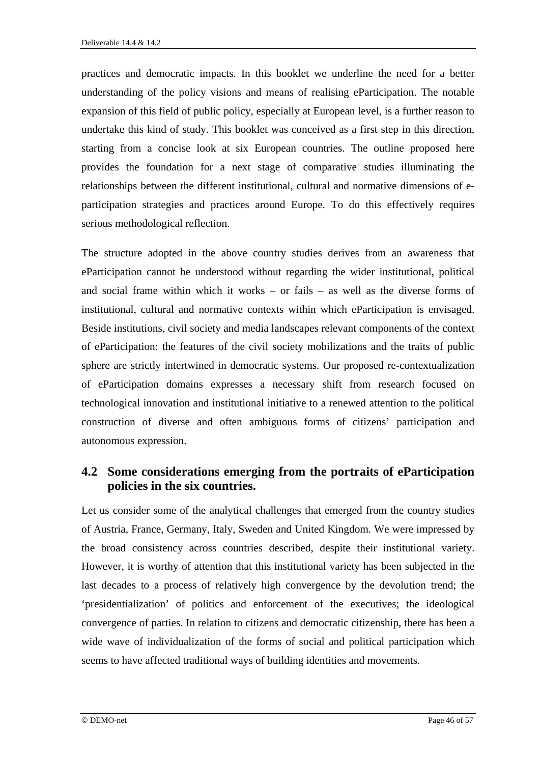practices and democratic impacts. In this booklet we underline the need for a better understanding of the policy visions and means of realising eParticipation. The notable expansion of this field of public policy, especially at European level, is a further reason to undertake this kind of study. This booklet was conceived as a first step in this direction, starting from a concise look at six European countries. The outline proposed here provides the foundation for a next stage of comparative studies illuminating the relationships between the different institutional, cultural and normative dimensions of eparticipation strategies and practices around Europe. To do this effectively requires serious methodological reflection.

The structure adopted in the above country studies derives from an awareness that eParticipation cannot be understood without regarding the wider institutional, political and social frame within which it works – or fails – as well as the diverse forms of institutional, cultural and normative contexts within which eParticipation is envisaged. Beside institutions, civil society and media landscapes relevant components of the context of eParticipation: the features of the civil society mobilizations and the traits of public sphere are strictly intertwined in democratic systems. Our proposed re-contextualization of eParticipation domains expresses a necessary shift from research focused on technological innovation and institutional initiative to a renewed attention to the political construction of diverse and often ambiguous forms of citizens' participation and autonomous expression.

### **4.2 Some considerations emerging from the portraits of eParticipation policies in the six countries.**

Let us consider some of the analytical challenges that emerged from the country studies of Austria, France, Germany, Italy, Sweden and United Kingdom. We were impressed by the broad consistency across countries described, despite their institutional variety. However, it is worthy of attention that this institutional variety has been subjected in the last decades to a process of relatively high convergence by the devolution trend; the 'presidentialization' of politics and enforcement of the executives; the ideological convergence of parties. In relation to citizens and democratic citizenship, there has been a wide wave of individualization of the forms of social and political participation which seems to have affected traditional ways of building identities and movements.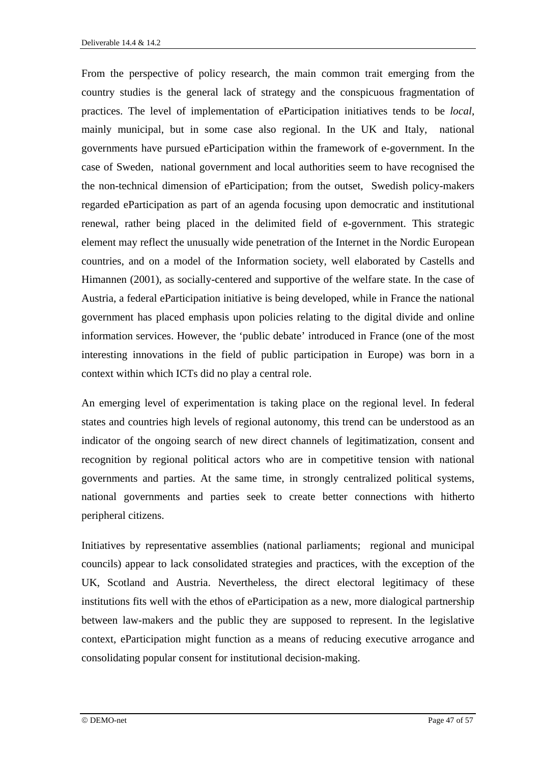From the perspective of policy research, the main common trait emerging from the country studies is the general lack of strategy and the conspicuous fragmentation of practices. The level of implementation of eParticipation initiatives tends to be *local*, mainly municipal, but in some case also regional. In the UK and Italy, national governments have pursued eParticipation within the framework of e-government. In the case of Sweden, national government and local authorities seem to have recognised the the non-technical dimension of eParticipation; from the outset, Swedish policy-makers regarded eParticipation as part of an agenda focusing upon democratic and institutional renewal, rather being placed in the delimited field of e-government. This strategic element may reflect the unusually wide penetration of the Internet in the Nordic European countries, and on a model of the Information society, well elaborated by Castells and Himannen (2001), as socially-centered and supportive of the welfare state. In the case of Austria, a federal eParticipation initiative is being developed, while in France the national government has placed emphasis upon policies relating to the digital divide and online information services. However, the 'public debate' introduced in France (one of the most interesting innovations in the field of public participation in Europe) was born in a context within which ICTs did no play a central role.

An emerging level of experimentation is taking place on the regional level. In federal states and countries high levels of regional autonomy, this trend can be understood as an indicator of the ongoing search of new direct channels of legitimatization, consent and recognition by regional political actors who are in competitive tension with national governments and parties. At the same time, in strongly centralized political systems, national governments and parties seek to create better connections with hitherto peripheral citizens.

Initiatives by representative assemblies (national parliaments; regional and municipal councils) appear to lack consolidated strategies and practices, with the exception of the UK, Scotland and Austria. Nevertheless, the direct electoral legitimacy of these institutions fits well with the ethos of eParticipation as a new, more dialogical partnership between law-makers and the public they are supposed to represent. In the legislative context, eParticipation might function as a means of reducing executive arrogance and consolidating popular consent for institutional decision-making.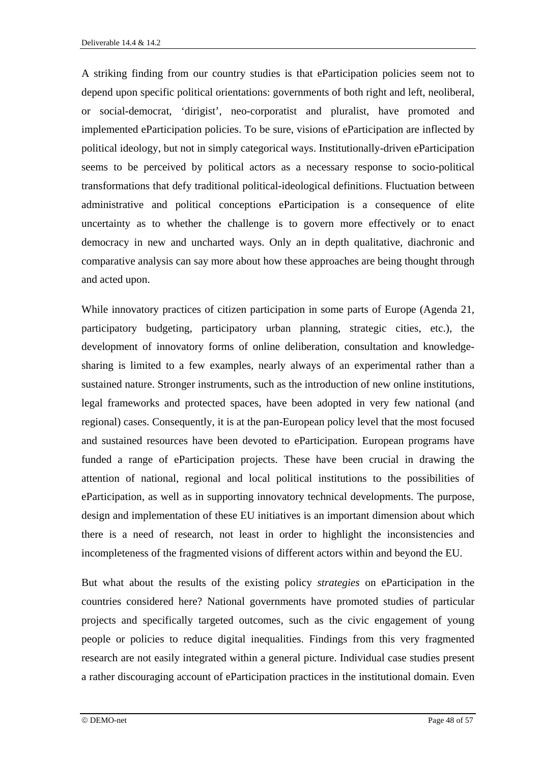A striking finding from our country studies is that eParticipation policies seem not to depend upon specific political orientations: governments of both right and left, neoliberal, or social-democrat, 'dirigist', neo-corporatist and pluralist, have promoted and implemented eParticipation policies. To be sure, visions of eParticipation are inflected by political ideology, but not in simply categorical ways. Institutionally-driven eParticipation seems to be perceived by political actors as a necessary response to socio-political transformations that defy traditional political-ideological definitions. Fluctuation between administrative and political conceptions eParticipation is a consequence of elite uncertainty as to whether the challenge is to govern more effectively or to enact democracy in new and uncharted ways. Only an in depth qualitative, diachronic and comparative analysis can say more about how these approaches are being thought through and acted upon.

While innovatory practices of citizen participation in some parts of Europe (Agenda 21, participatory budgeting, participatory urban planning, strategic cities, etc.), the development of innovatory forms of online deliberation, consultation and knowledgesharing is limited to a few examples, nearly always of an experimental rather than a sustained nature. Stronger instruments, such as the introduction of new online institutions, legal frameworks and protected spaces, have been adopted in very few national (and regional) cases. Consequently, it is at the pan-European policy level that the most focused and sustained resources have been devoted to eParticipation. European programs have funded a range of eParticipation projects. These have been crucial in drawing the attention of national, regional and local political institutions to the possibilities of eParticipation, as well as in supporting innovatory technical developments. The purpose, design and implementation of these EU initiatives is an important dimension about which there is a need of research, not least in order to highlight the inconsistencies and incompleteness of the fragmented visions of different actors within and beyond the EU.

But what about the results of the existing policy *strategies* on eParticipation in the countries considered here? National governments have promoted studies of particular projects and specifically targeted outcomes, such as the civic engagement of young people or policies to reduce digital inequalities. Findings from this very fragmented research are not easily integrated within a general picture. Individual case studies present a rather discouraging account of eParticipation practices in the institutional domain. Even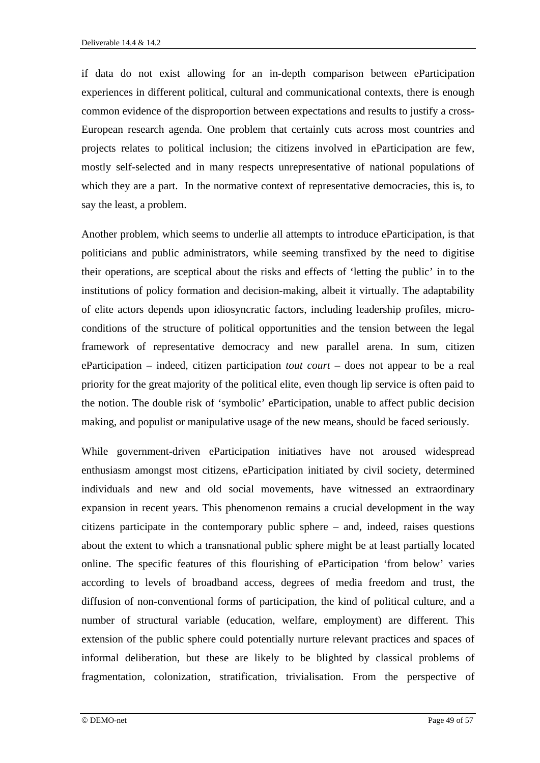if data do not exist allowing for an in-depth comparison between eParticipation experiences in different political, cultural and communicational contexts, there is enough common evidence of the disproportion between expectations and results to justify a cross-European research agenda. One problem that certainly cuts across most countries and projects relates to political inclusion; the citizens involved in eParticipation are few, mostly self-selected and in many respects unrepresentative of national populations of which they are a part. In the normative context of representative democracies, this is, to say the least, a problem.

Another problem, which seems to underlie all attempts to introduce eParticipation, is that politicians and public administrators, while seeming transfixed by the need to digitise their operations, are sceptical about the risks and effects of 'letting the public' in to the institutions of policy formation and decision-making, albeit it virtually. The adaptability of elite actors depends upon idiosyncratic factors, including leadership profiles, microconditions of the structure of political opportunities and the tension between the legal framework of representative democracy and new parallel arena. In sum, citizen eParticipation – indeed, citizen participation *tout court* – does not appear to be a real priority for the great majority of the political elite, even though lip service is often paid to the notion. The double risk of 'symbolic' eParticipation, unable to affect public decision making, and populist or manipulative usage of the new means, should be faced seriously.

While government-driven eParticipation initiatives have not aroused widespread enthusiasm amongst most citizens, eParticipation initiated by civil society, determined individuals and new and old social movements, have witnessed an extraordinary expansion in recent years. This phenomenon remains a crucial development in the way citizens participate in the contemporary public sphere – and, indeed, raises questions about the extent to which a transnational public sphere might be at least partially located online. The specific features of this flourishing of eParticipation 'from below' varies according to levels of broadband access, degrees of media freedom and trust, the diffusion of non-conventional forms of participation, the kind of political culture, and a number of structural variable (education, welfare, employment) are different. This extension of the public sphere could potentially nurture relevant practices and spaces of informal deliberation, but these are likely to be blighted by classical problems of fragmentation, colonization, stratification, trivialisation. From the perspective of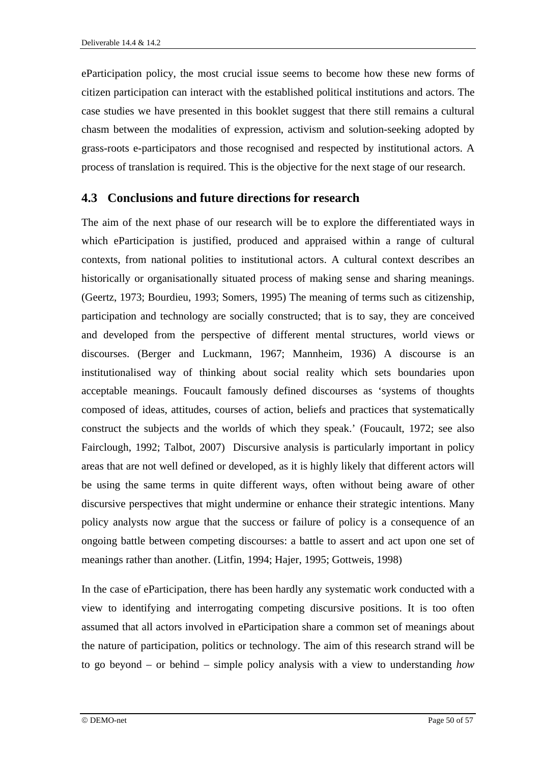eParticipation policy, the most crucial issue seems to become how these new forms of citizen participation can interact with the established political institutions and actors. The case studies we have presented in this booklet suggest that there still remains a cultural chasm between the modalities of expression, activism and solution-seeking adopted by grass-roots e-participators and those recognised and respected by institutional actors. A process of translation is required. This is the objective for the next stage of our research.

#### **4.3 Conclusions and future directions for research**

The aim of the next phase of our research will be to explore the differentiated ways in which eParticipation is justified, produced and appraised within a range of cultural contexts, from national polities to institutional actors. A cultural context describes an historically or organisationally situated process of making sense and sharing meanings. (Geertz, 1973; Bourdieu, 1993; Somers, 1995) The meaning of terms such as citizenship, participation and technology are socially constructed; that is to say, they are conceived and developed from the perspective of different mental structures, world views or discourses. (Berger and Luckmann, 1967; Mannheim, 1936) A discourse is an institutionalised way of thinking about social reality which sets boundaries upon acceptable meanings. Foucault famously defined discourses as 'systems of thoughts composed of ideas, attitudes, courses of action, beliefs and practices that systematically construct the subjects and the worlds of which they speak.' (Foucault, 1972; see also Fairclough, 1992; Talbot, 2007) Discursive analysis is particularly important in policy areas that are not well defined or developed, as it is highly likely that different actors will be using the same terms in quite different ways, often without being aware of other discursive perspectives that might undermine or enhance their strategic intentions. Many policy analysts now argue that the success or failure of policy is a consequence of an ongoing battle between competing discourses: a battle to assert and act upon one set of meanings rather than another. (Litfin, 1994; Hajer, 1995; Gottweis, 1998)

In the case of eParticipation, there has been hardly any systematic work conducted with a view to identifying and interrogating competing discursive positions. It is too often assumed that all actors involved in eParticipation share a common set of meanings about the nature of participation, politics or technology. The aim of this research strand will be to go beyond – or behind – simple policy analysis with a view to understanding *how*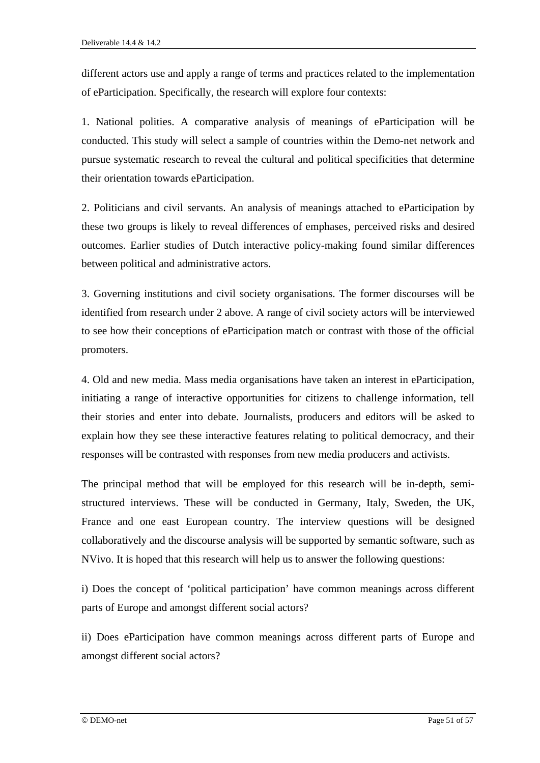different actors use and apply a range of terms and practices related to the implementation of eParticipation. Specifically, the research will explore four contexts:

1. National polities. A comparative analysis of meanings of eParticipation will be conducted. This study will select a sample of countries within the Demo-net network and pursue systematic research to reveal the cultural and political specificities that determine their orientation towards eParticipation.

2. Politicians and civil servants. An analysis of meanings attached to eParticipation by these two groups is likely to reveal differences of emphases, perceived risks and desired outcomes. Earlier studies of Dutch interactive policy-making found similar differences between political and administrative actors.

3. Governing institutions and civil society organisations. The former discourses will be identified from research under 2 above. A range of civil society actors will be interviewed to see how their conceptions of eParticipation match or contrast with those of the official promoters.

4. Old and new media. Mass media organisations have taken an interest in eParticipation, initiating a range of interactive opportunities for citizens to challenge information, tell their stories and enter into debate. Journalists, producers and editors will be asked to explain how they see these interactive features relating to political democracy, and their responses will be contrasted with responses from new media producers and activists.

The principal method that will be employed for this research will be in-depth, semistructured interviews. These will be conducted in Germany, Italy, Sweden, the UK, France and one east European country. The interview questions will be designed collaboratively and the discourse analysis will be supported by semantic software, such as NVivo. It is hoped that this research will help us to answer the following questions:

i) Does the concept of 'political participation' have common meanings across different parts of Europe and amongst different social actors?

ii) Does eParticipation have common meanings across different parts of Europe and amongst different social actors?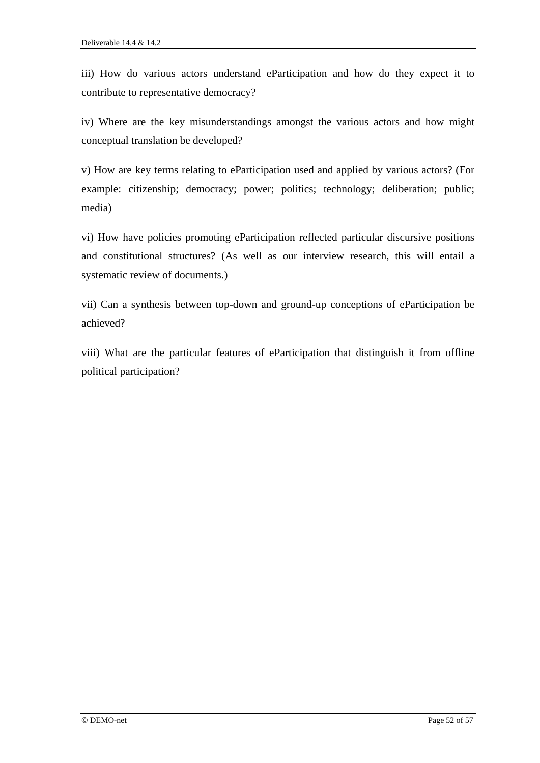iii) How do various actors understand eParticipation and how do they expect it to contribute to representative democracy?

iv) Where are the key misunderstandings amongst the various actors and how might conceptual translation be developed?

v) How are key terms relating to eParticipation used and applied by various actors? (For example: citizenship; democracy; power; politics; technology; deliberation; public; media)

vi) How have policies promoting eParticipation reflected particular discursive positions and constitutional structures? (As well as our interview research, this will entail a systematic review of documents.)

vii) Can a synthesis between top-down and ground-up conceptions of eParticipation be achieved?

viii) What are the particular features of eParticipation that distinguish it from offline political participation?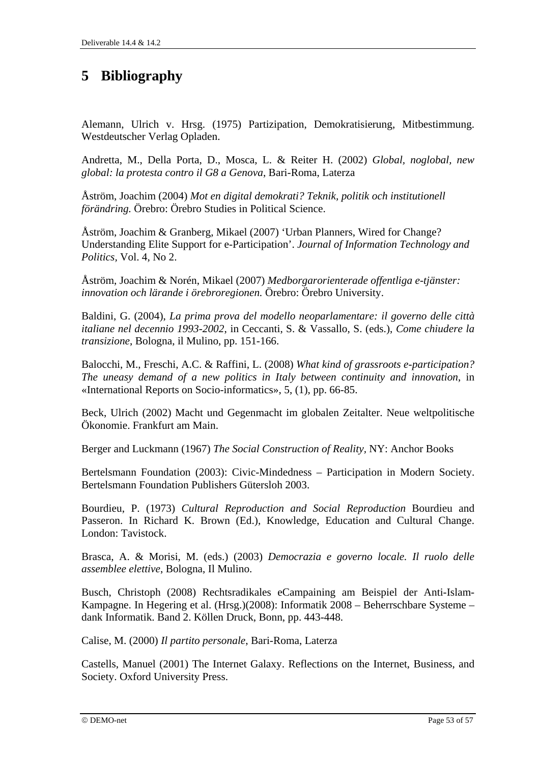## **5 Bibliography**

Alemann, Ulrich v. Hrsg. (1975) Partizipation, Demokratisierung, Mitbestimmung. Westdeutscher Verlag Opladen.

Andretta, M., Della Porta, D., Mosca, L. & Reiter H. (2002) *Global, noglobal, new global: la protesta contro il G8 a Genova*, Bari-Roma, Laterza

Åström, Joachim (2004) *Mot en digital demokrati? Teknik, politik och institutionell förändring.* Örebro: Örebro Studies in Political Science.

Åström, Joachim & Granberg, Mikael (2007) 'Urban Planners, Wired for Change? Understanding Elite Support for e-Participation'. *Journal of Information Technology and Politics,* Vol. 4, No 2.

Åström, Joachim & Norén, Mikael (2007) *Medborgarorienterade offentliga e-tjänster: innovation och lärande i örebroregionen.* Örebro: Örebro University.

Baldini, G. (2004), *La prima prova del modello neoparlamentare: il governo delle città italiane nel decennio 1993-2002*, in Ceccanti, S. & Vassallo, S. (eds.), *Come chiudere la transizione*, Bologna, il Mulino, pp. 151-166.

Balocchi, M., Freschi, A.C. & Raffini, L. (2008) *What kind of grassroots e-participation? The uneasy demand of a new politics in Italy between continuity and innovation*, in «International Reports on Socio-informatics», 5, (1), pp. 66-85.

Beck, Ulrich (2002) Macht und Gegenmacht im globalen Zeitalter. Neue weltpolitische Ökonomie. Frankfurt am Main.

Berger and Luckmann (1967) *The Social Construction of Reality,* NY: Anchor Books

Bertelsmann Foundation (2003): Civic-Mindedness – Participation in Modern Society. Bertelsmann Foundation Publishers Gütersloh 2003.

Bourdieu, P. (1973) *Cultural Reproduction and Social Reproduction* Bourdieu and Passeron. In Richard K. Brown (Ed.), Knowledge, Education and Cultural Change. London: Tavistock.

Brasca, A. & Morisi, M. (eds.) (2003) *Democrazia e governo locale. Il ruolo delle assemblee elettive*, Bologna, Il Mulino.

Busch, Christoph (2008) Rechtsradikales eCampaining am Beispiel der Anti-Islam-Kampagne. In Hegering et al. (Hrsg.)(2008): Informatik 2008 – Beherrschbare Systeme – dank Informatik. Band 2. Köllen Druck, Bonn, pp. 443-448.

Calise, M. (2000) *Il partito personale*, Bari-Roma, Laterza

Castells, Manuel (2001) The Internet Galaxy. Reflections on the Internet, Business, and Society. Oxford University Press.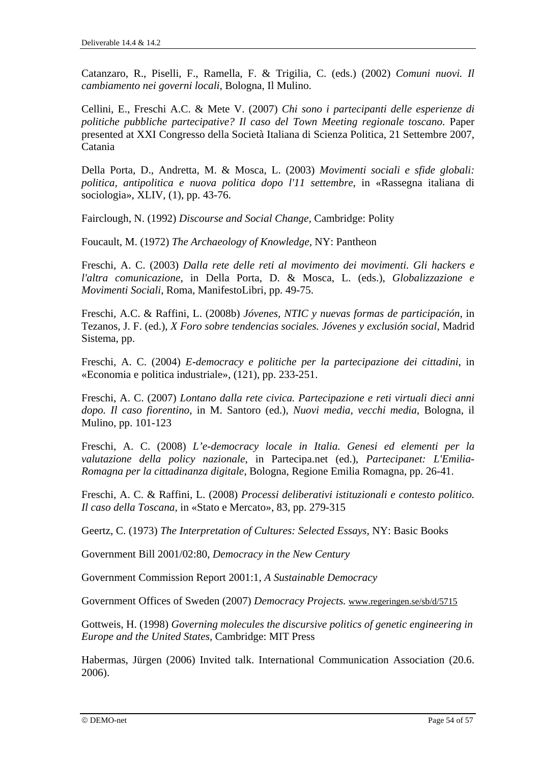Catanzaro, R., Piselli, F., Ramella, F. & Trigilia, C. (eds.) (2002) *Comuni nuovi. Il cambiamento nei governi locali*, Bologna, Il Mulino.

Cellini, E., Freschi A.C. & Mete V. (2007) *Chi sono i partecipanti delle esperienze di politiche pubbliche partecipative? Il caso del Town Meeting regionale toscano*. Paper presented at XXI Congresso della Società Italiana di Scienza Politica, 21 Settembre 2007, Catania

Della Porta, D., Andretta, M. & Mosca, L. (2003) *Movimenti sociali e sfide globali: politica, antipolitica e nuova politica dopo l'11 settembre*, in «Rassegna italiana di sociologia», XLIV, (1), pp. 43-76.

Fairclough, N. (1992) *Discourse and Social Change,* Cambridge: Polity

Foucault, M. (1972) *The Archaeology of Knowledge,* NY: Pantheon

Freschi, A. C. (2003) *Dalla rete delle reti al movimento dei movimenti. Gli hackers e l'altra comunicazione*, in Della Porta, D. & Mosca, L. (eds.), *Globalizzazione e Movimenti Sociali*, Roma, ManifestoLibri, pp. 49-75.

Freschi, A.C. & Raffini, L. (2008b) *Jóvenes, NTIC y nuevas formas de participación*, in Tezanos, J. F. (ed.), *X Foro sobre tendencias sociales. Jóvenes y exclusión social*, Madrid Sistema, pp.

Freschi, A. C. (2004) *E-democracy e politiche per la partecipazione dei cittadini*, in «Economia e politica industriale», (121), pp. 233-251.

Freschi, A. C. (2007) *Lontano dalla rete civica. Partecipazione e reti virtuali dieci anni dopo. Il caso fiorentino*, in M. Santoro (ed.), *Nuovi media, vecchi media*, Bologna, il Mulino, pp. 101-123

Freschi, A. C. (2008) *L'e-democracy locale in Italia. Genesi ed elementi per la valutazione della policy nazionale*, in Partecipa.net (ed.), *Partecipanet: L'Emilia-Romagna per la cittadinanza digitale*, Bologna, Regione Emilia Romagna, pp. 26-41.

Freschi, A. C. & Raffini, L. (2008) *Processi deliberativi istituzionali e contesto politico. Il caso della Toscana*, in «Stato e Mercato», 83, pp. 279-315

Geertz, C. (1973) *The Interpretation of Cultures: Selected Essays,* NY: Basic Books

Government Bill 2001/02:80, *Democracy in the New Century*

Government Commission Report 2001:1, *A Sustainable Democracy*

Government Offices of Sweden (2007) *Democracy Projects.* www.regeringen.se/sb/d/5715

Gottweis, H. (1998) *Governing molecules the discursive politics of genetic engineering in Europe and the United States,* Cambridge: MIT Press

Habermas, Jürgen (2006) Invited talk. International Communication Association (20.6. 2006).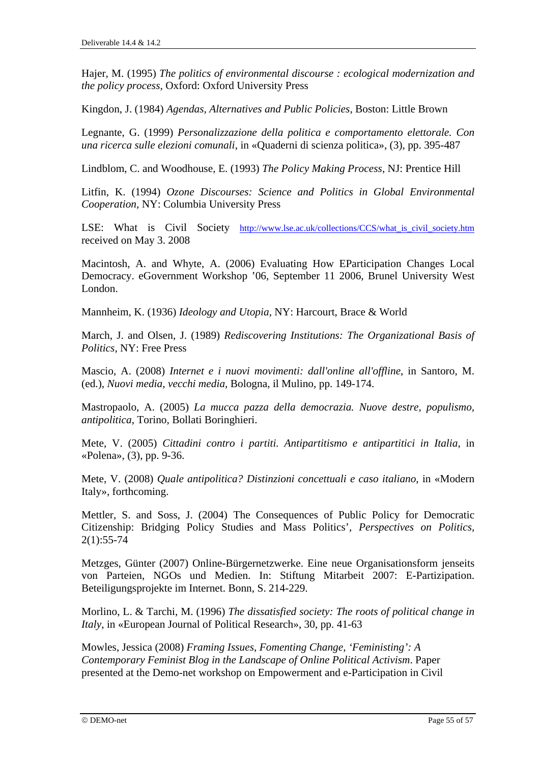Hajer, M. (1995) *The politics of environmental discourse : ecological modernization and the policy process,* Oxford: Oxford University Press

Kingdon, J. (1984) *Agendas, Alternatives and Public Policies,* Boston: Little Brown

Legnante, G. (1999) *Personalizzazione della politica e comportamento elettorale. Con una ricerca sulle elezioni comunali*, in «Quaderni di scienza politica», (3), pp. 395-487

Lindblom, C. and Woodhouse, E. (1993) *The Policy Making Process,* NJ: Prentice Hill

Litfin, K. (1994) *Ozone Discourses: Science and Politics in Global Environmental Cooperation,* NY: Columbia University Press

LSE: What is Civil Society http://www.lse.ac.uk/collections/CCS/what is\_civil\_society.htm received on May 3. 2008

Macintosh, A. and Whyte, A. (2006) Evaluating How EParticipation Changes Local Democracy. eGovernment Workshop '06, September 11 2006, Brunel University West London.

Mannheim, K. (1936) *Ideology and Utopia,* NY: Harcourt, Brace & World

March, J. and Olsen, J. (1989) *Rediscovering Institutions: The Organizational Basis of Politics,* NY: Free Press

Mascio, A. (2008) *Internet e i nuovi movimenti: dall'online all'offline*, in Santoro, M. (ed.), *Nuovi media, vecchi media*, Bologna, il Mulino, pp. 149-174.

Mastropaolo, A. (2005) *La mucca pazza della democrazia. Nuove destre, populismo, antipolitica*, Torino, Bollati Boringhieri.

Mete, V. (2005) *Cittadini contro i partiti. Antipartitismo e antipartitici in Italia*, in «Polena», (3), pp. 9-36.

Mete, V. (2008) *Quale antipolitica? Distinzioni concettuali e caso italiano*, in «Modern Italy», forthcoming.

Mettler, S. and Soss, J. (2004) The Consequences of Public Policy for Democratic Citizenship: Bridging Policy Studies and Mass Politics', *Perspectives on Politics,*  2(1):55-74

Metzges, Günter (2007) Online-Bürgernetzwerke. Eine neue Organisationsform jenseits von Parteien, NGOs und Medien. In: Stiftung Mitarbeit 2007: E-Partizipation. Beteiligungsprojekte im Internet. Bonn, S. 214-229.

Morlino, L. & Tarchi, M. (1996) *The dissatisfied society: The roots of political change in Italy*, in «European Journal of Political Research», 30, pp. 41-63

Mowles, Jessica (2008) *Framing Issues, Fomenting Change, 'Feministing': A Contemporary Feminist Blog in the Landscape of Online Political Activism*. Paper presented at the Demo-net workshop on Empowerment and e-Participation in Civil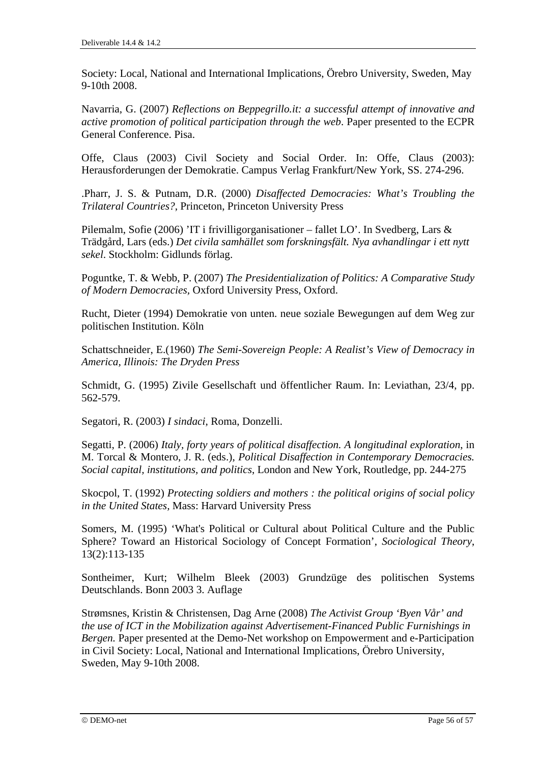Society: Local, National and International Implications, Örebro University, Sweden, May 9-10th 2008.

Navarria, G. (2007) *Reflections on Beppegrillo.it: a successful attempt of innovative and active promotion of political participation through the web*. Paper presented to the ECPR General Conference. Pisa.

Offe, Claus (2003) Civil Society and Social Order. In: Offe, Claus (2003): Herausforderungen der Demokratie. Campus Verlag Frankfurt/New York, SS. 274-296.

.Pharr, J. S. & Putnam, D.R. (2000) *Disaffected Democracies: What's Troubling the Trilateral Countries?*, Princeton, Princeton University Press

Pilemalm, Sofie (2006) 'IT i frivilligorganisationer – fallet LO'. In Svedberg, Lars & Trädgård, Lars (eds.) *Det civila samhället som forskningsfält. Nya avhandlingar i ett nytt sekel*. Stockholm: Gidlunds förlag.

Poguntke, T. & Webb, P. (2007) *The Presidentialization of Politics: A Comparative Study of Modern Democracies,* Oxford University Press, Oxford.

Rucht, Dieter (1994) Demokratie von unten. neue soziale Bewegungen auf dem Weg zur politischen Institution. Köln

Schattschneider, E.(1960) *The Semi-Sovereign People: A Realist's View of Democracy in America, Illinois: The Dryden Press*

Schmidt, G. (1995) Zivile Gesellschaft und öffentlicher Raum. In: Leviathan, 23/4, pp. 562-579.

Segatori, R. (2003) *I sindaci*, Roma, Donzelli.

Segatti, P. (2006) *Italy, forty years of political disaffection. A longitudinal exploration*, in M. Torcal & Montero, J. R. (eds.), *Political Disaffection in Contemporary Democracies. Social capital, institutions, and politics*, London and New York, Routledge, pp. 244-275

Skocpol, T. (1992) *Protecting soldiers and mothers : the political origins of social policy in the United States,* Mass: Harvard University Press

Somers, M. (1995) 'What's Political or Cultural about Political Culture and the Public Sphere? Toward an Historical Sociology of Concept Formation', *Sociological Theory*, 13(2):113-135

Sontheimer, Kurt; Wilhelm Bleek (2003) Grundzüge des politischen Systems Deutschlands. Bonn 2003 3. Auflage

Strømsnes, Kristin & Christensen, Dag Arne (2008) *The Activist Group 'Byen Vår' and the use of ICT in the Mobilization against Advertisement-Financed Public Furnishings in Bergen.* Paper presented at the Demo-Net workshop on Empowerment and e-Participation in Civil Society: Local, National and International Implications, Örebro University, Sweden, May 9-10th 2008.